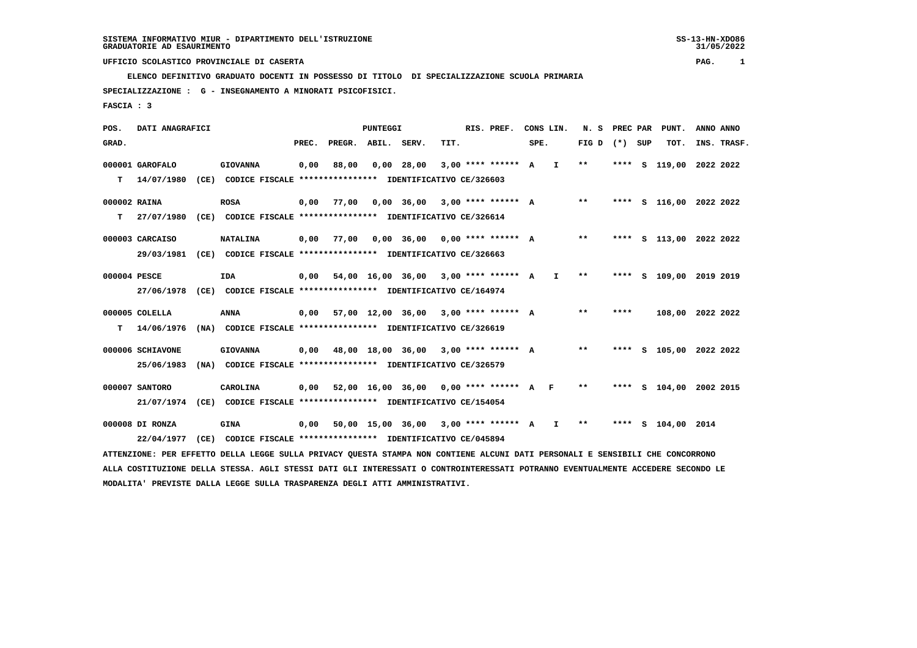**ELENCO DEFINITIVO GRADUATO DOCENTI IN POSSESSO DI TITOLO DI SPECIALIZZAZIONE SCUOLA PRIMARIA**

 **SPECIALIZZAZIONE : G - INSEGNAMENTO A MINORATI PSICOFISICI.**

 **FASCIA : 3**

 **POS. DATI ANAGRAFICI PUNTEGGI RIS. PREF. CONS LIN. N. S PREC PAR PUNT. ANNO ANNO**GRAD. **BRAD. PREC. PREGR. ABIL. SERV. TIT.** SPE. FIG D (\*) SUP TOT. INS. TRASF.  **000001 GAROFALO GIOVANNA 0,00 88,00 0,00 28,00 3,00 \*\*\*\* \*\*\*\*\*\* A I \*\* \*\*\*\* S 119,00 2022 2022 T 14/07/1980 (CE) CODICE FISCALE \*\*\*\*\*\*\*\*\*\*\*\*\*\*\*\* IDENTIFICATIVO CE/326603 000002 RAINA ROSA 0,00 77,00 0,00 36,00 3,00 \*\*\*\* \*\*\*\*\*\* A \*\* \*\*\*\* S 116,00 2022 2022 T 27/07/1980 (CE) CODICE FISCALE \*\*\*\*\*\*\*\*\*\*\*\*\*\*\*\* IDENTIFICATIVO CE/326614 000003 CARCAISO NATALINA 0,00 77,00 0,00 36,00 0,00 \*\*\*\* \*\*\*\*\*\* A \*\* \*\*\*\* S 113,00 2022 2022 29/03/1981 (CE) CODICE FISCALE \*\*\*\*\*\*\*\*\*\*\*\*\*\*\*\* IDENTIFICATIVO CE/326663 000004 PESCE IDA 0,00 54,00 16,00 36,00 3,00 \*\*\*\* \*\*\*\*\*\* A I \*\* \*\*\*\* S 109,00 2019 2019 27/06/1978 (CE) CODICE FISCALE \*\*\*\*\*\*\*\*\*\*\*\*\*\*\*\* IDENTIFICATIVO CE/164974 000005 COLELLA ANNA 0,00 57,00 12,00 36,00 3,00 \*\*\*\* \*\*\*\*\*\* A \*\* \*\*\*\* 108,00 2022 2022 T 14/06/1976 (NA) CODICE FISCALE \*\*\*\*\*\*\*\*\*\*\*\*\*\*\*\* IDENTIFICATIVO CE/326619 000006 SCHIAVONE GIOVANNA 0,00 48,00 18,00 36,00 3,00 \*\*\*\* \*\*\*\*\*\* A \*\* \*\*\*\* S 105,00 2022 2022 25/06/1983 (NA) CODICE FISCALE \*\*\*\*\*\*\*\*\*\*\*\*\*\*\*\* IDENTIFICATIVO CE/326579 000007 SANTORO CAROLINA 0,00 52,00 16,00 36,00 0,00 \*\*\*\* \*\*\*\*\*\* A F \*\* \*\*\*\* S 104,00 2002 2015 21/07/1974 (CE) CODICE FISCALE \*\*\*\*\*\*\*\*\*\*\*\*\*\*\*\* IDENTIFICATIVO CE/154054 000008 DI RONZA GINA 0,00 50,00 15,00 36,00 3,00 \*\*\*\* \*\*\*\*\*\* A I \*\* \*\*\*\* S 104,00 2014 22/04/1977 (CE) CODICE FISCALE \*\*\*\*\*\*\*\*\*\*\*\*\*\*\*\* IDENTIFICATIVO CE/045894**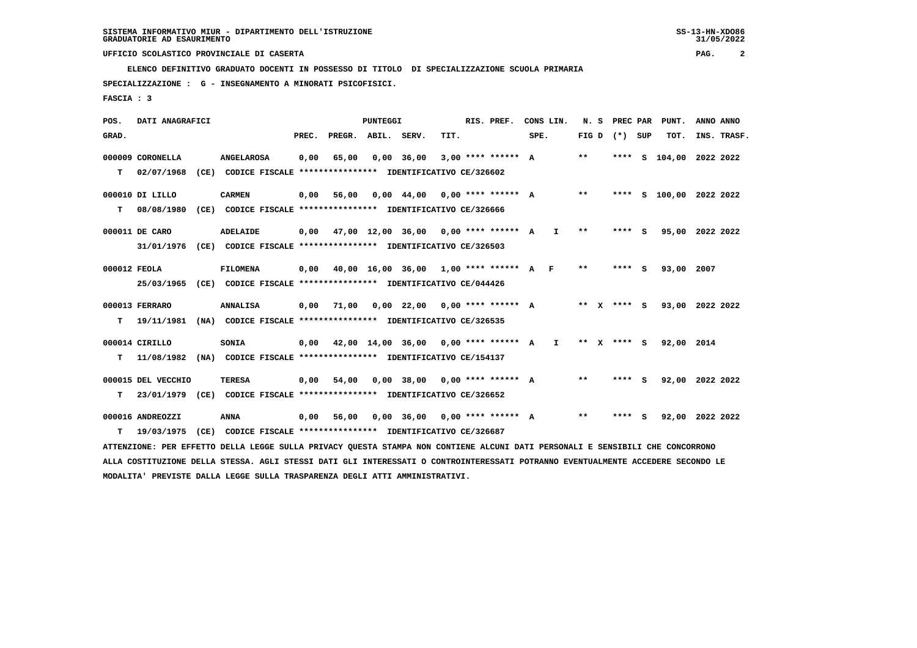**ELENCO DEFINITIVO GRADUATO DOCENTI IN POSSESSO DI TITOLO DI SPECIALIZZAZIONE SCUOLA PRIMARIA**

 **SPECIALIZZAZIONE : G - INSEGNAMENTO A MINORATI PSICOFISICI.**

 **FASCIA : 3**

 **POS. DATI ANAGRAFICI PUNTEGGI RIS. PREF. CONS LIN. N. S PREC PAR PUNT. ANNO ANNO**GRAD. **PREGRADE SERVEGE SERVE SERVE SPEREGE SPEREGALES SPEREGALES SPEREGALES SPEREGALES SPEREGALES SUP TOT. INS. TRASF. 000009 CORONELLA ANGELAROSA 0,00 65,00 0,00 36,00 3,00 \*\*\*\* \*\*\*\*\*\* A \*\* \*\*\*\* S 104,00 2022 2022 T 02/07/1968 (CE) CODICE FISCALE \*\*\*\*\*\*\*\*\*\*\*\*\*\*\*\* IDENTIFICATIVO CE/326602 000010 DI LILLO CARMEN 0,00 56,00 0,00 44,00 0,00 \*\*\*\* \*\*\*\*\*\* A \*\* \*\*\*\* S 100,00 2022 2022 T 08/08/1980 (CE) CODICE FISCALE \*\*\*\*\*\*\*\*\*\*\*\*\*\*\*\* IDENTIFICATIVO CE/326666 000011 DE CARO ADELAIDE 0,00 47,00 12,00 36,00 0,00 \*\*\*\* \*\*\*\*\*\* A I \*\* \*\*\*\* S 95,00 2022 2022 31/01/1976 (CE) CODICE FISCALE \*\*\*\*\*\*\*\*\*\*\*\*\*\*\*\* IDENTIFICATIVO CE/326503 000012 FEOLA FILOMENA 0,00 40,00 16,00 36,00 1,00 \*\*\*\* \*\*\*\*\*\* A F \*\* \*\*\*\* S 93,00 2007 25/03/1965 (CE) CODICE FISCALE \*\*\*\*\*\*\*\*\*\*\*\*\*\*\*\* IDENTIFICATIVO CE/044426 000013 FERRARO ANNALISA 0,00 71,00 0,00 22,00 0,00 \*\*\*\* \*\*\*\*\*\* A \*\* X \*\*\*\* S 93,00 2022 2022 T 19/11/1981 (NA) CODICE FISCALE \*\*\*\*\*\*\*\*\*\*\*\*\*\*\*\* IDENTIFICATIVO CE/326535 000014 CIRILLO SONIA 0,00 42,00 14,00 36,00 0,00 \*\*\*\* \*\*\*\*\*\* A I \*\* X \*\*\*\* S 92,00 2014 T 11/08/1982 (NA) CODICE FISCALE \*\*\*\*\*\*\*\*\*\*\*\*\*\*\*\* IDENTIFICATIVO CE/154137 000015 DEL VECCHIO TERESA 0,00 54,00 0,00 38,00 0,00 \*\*\*\* \*\*\*\*\*\* A \*\* \*\*\*\* S 92,00 2022 2022 T 23/01/1979 (CE) CODICE FISCALE \*\*\*\*\*\*\*\*\*\*\*\*\*\*\*\* IDENTIFICATIVO CE/326652 000016 ANDREOZZI ANNA 0,00 56,00 0,00 36,00 0,00 \*\*\*\* \*\*\*\*\*\* A \*\* \*\*\*\* S 92,00 2022 2022 T 19/03/1975 (CE) CODICE FISCALE \*\*\*\*\*\*\*\*\*\*\*\*\*\*\*\* IDENTIFICATIVO CE/326687 ATTENZIONE: PER EFFETTO DELLA LEGGE SULLA PRIVACY QUESTA STAMPA NON CONTIENE ALCUNI DATI PERSONALI E SENSIBILI CHE CONCORRONO ALLA COSTITUZIONE DELLA STESSA. AGLI STESSI DATI GLI INTERESSATI O CONTROINTERESSATI POTRANNO EVENTUALMENTE ACCEDERE SECONDO LE MODALITA' PREVISTE DALLA LEGGE SULLA TRASPARENZA DEGLI ATTI AMMINISTRATIVI.**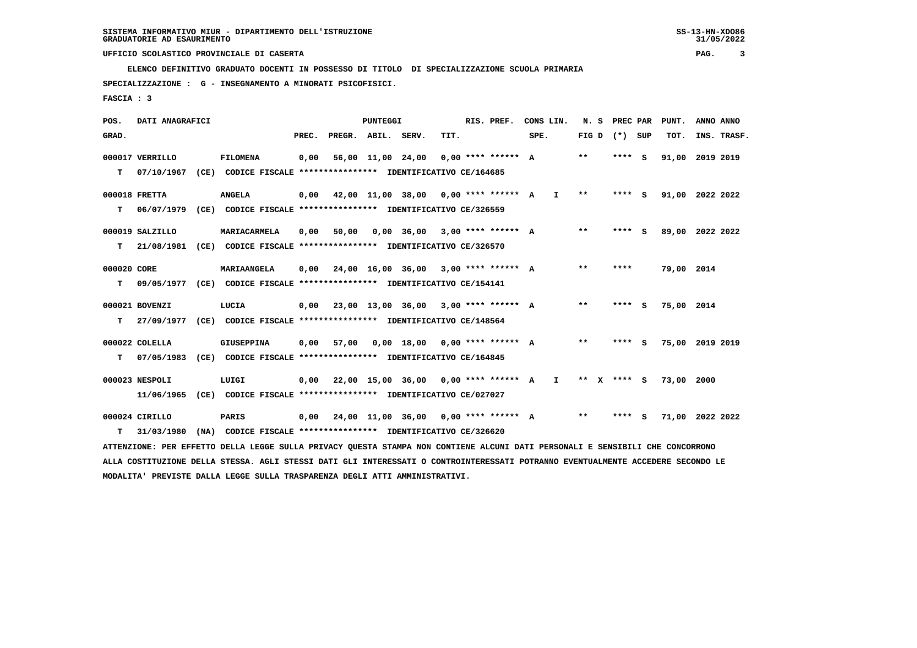**ELENCO DEFINITIVO GRADUATO DOCENTI IN POSSESSO DI TITOLO DI SPECIALIZZAZIONE SCUOLA PRIMARIA**

 **SPECIALIZZAZIONE : G - INSEGNAMENTO A MINORATI PSICOFISICI.**

 **FASCIA : 3**

 **POS. DATI ANAGRAFICI PUNTEGGI RIS. PREF. CONS LIN. N. S PREC PAR PUNT. ANNO ANNO**GRAD. **PREGRADE SERVEGE SERVE SERVE SPEREGE SPEREGALES SPEREGALES SPEREGALES SPEREGALES SPEREGALES SUP TOT. INS. TRASF. 000017 VERRILLO FILOMENA 0,00 56,00 11,00 24,00 0,00 \*\*\*\* \*\*\*\*\*\* A \*\* \*\*\*\* S 91,00 2019 2019 T 07/10/1967 (CE) CODICE FISCALE \*\*\*\*\*\*\*\*\*\*\*\*\*\*\*\* IDENTIFICATIVO CE/164685 000018 FRETTA ANGELA 0,00 42,00 11,00 38,00 0,00 \*\*\*\* \*\*\*\*\*\* A I \*\* \*\*\*\* S 91,00 2022 2022 T 06/07/1979 (CE) CODICE FISCALE \*\*\*\*\*\*\*\*\*\*\*\*\*\*\*\* IDENTIFICATIVO CE/326559 000019 SALZILLO MARIACARMELA 0,00 50,00 0,00 36,00 3,00 \*\*\*\* \*\*\*\*\*\* A \*\* \*\*\*\* S 89,00 2022 2022 T 21/08/1981 (CE) CODICE FISCALE \*\*\*\*\*\*\*\*\*\*\*\*\*\*\*\* IDENTIFICATIVO CE/326570 000020 CORE MARIAANGELA 0,00 24,00 16,00 36,00 3,00 \*\*\*\* \*\*\*\*\*\* A \*\* \*\*\*\* 79,00 2014 T 09/05/1977 (CE) CODICE FISCALE \*\*\*\*\*\*\*\*\*\*\*\*\*\*\*\* IDENTIFICATIVO CE/154141 000021 BOVENZI LUCIA 0,00 23,00 13,00 36,00 3,00 \*\*\*\* \*\*\*\*\*\* A \*\* \*\*\*\* S 75,00 2014 T 27/09/1977 (CE) CODICE FISCALE \*\*\*\*\*\*\*\*\*\*\*\*\*\*\*\* IDENTIFICATIVO CE/148564 000022 COLELLA GIUSEPPINA 0,00 57,00 0,00 18,00 0,00 \*\*\*\* \*\*\*\*\*\* A \*\* \*\*\*\* S 75,00 2019 2019 T 07/05/1983 (CE) CODICE FISCALE \*\*\*\*\*\*\*\*\*\*\*\*\*\*\*\* IDENTIFICATIVO CE/164845 000023 NESPOLI LUIGI 0,00 22,00 15,00 36,00 0,00 \*\*\*\* \*\*\*\*\*\* A I \*\* X \*\*\*\* S 73,00 2000 11/06/1965 (CE) CODICE FISCALE \*\*\*\*\*\*\*\*\*\*\*\*\*\*\*\* IDENTIFICATIVO CE/027027 000024 CIRILLO PARIS 0,00 24,00 11,00 36,00 0,00 \*\*\*\* \*\*\*\*\*\* A \*\* \*\*\*\* S 71,00 2022 2022 T 31/03/1980 (NA) CODICE FISCALE \*\*\*\*\*\*\*\*\*\*\*\*\*\*\*\* IDENTIFICATIVO CE/326620 ATTENZIONE: PER EFFETTO DELLA LEGGE SULLA PRIVACY QUESTA STAMPA NON CONTIENE ALCUNI DATI PERSONALI E SENSIBILI CHE CONCORRONO ALLA COSTITUZIONE DELLA STESSA. AGLI STESSI DATI GLI INTERESSATI O CONTROINTERESSATI POTRANNO EVENTUALMENTE ACCEDERE SECONDO LE MODALITA' PREVISTE DALLA LEGGE SULLA TRASPARENZA DEGLI ATTI AMMINISTRATIVI.**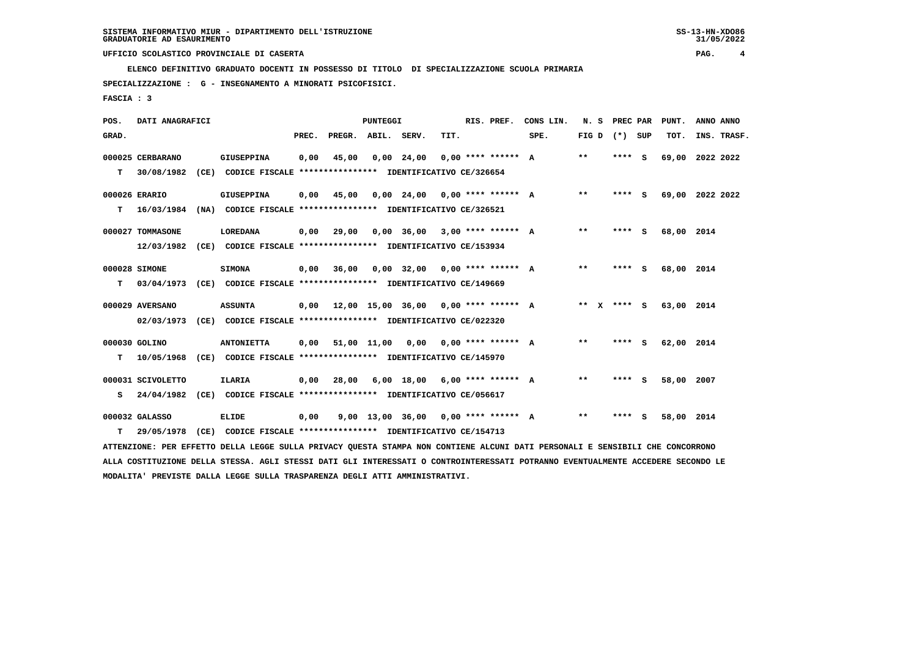**ELENCO DEFINITIVO GRADUATO DOCENTI IN POSSESSO DI TITOLO DI SPECIALIZZAZIONE SCUOLA PRIMARIA**

 **SPECIALIZZAZIONE : G - INSEGNAMENTO A MINORATI PSICOFISICI.**

 **FASCIA : 3**

| POS.  | DATI ANAGRAFICI   |                                                                                                                               |       |                                            | <b>PUNTEGGI</b> |                                     |      | RIS. PREF.           | CONS LIN.                                 | N. S PREC PAR     |         | PUNT.           | ANNO ANNO |             |
|-------|-------------------|-------------------------------------------------------------------------------------------------------------------------------|-------|--------------------------------------------|-----------------|-------------------------------------|------|----------------------|-------------------------------------------|-------------------|---------|-----------------|-----------|-------------|
| GRAD. |                   |                                                                                                                               | PREC. | PREGR. ABIL. SERV.                         |                 |                                     | TIT. |                      | SPE.                                      | FIG $D$ $(*)$ SUP |         | TOT.            |           | INS. TRASF. |
|       | 000025 CERBARANO  | <b>GIUSEPPINA</b>                                                                                                             | 0,00  | 45,00                                      |                 | $0,00$ 24,00                        |      | $0.00$ **** ****** A |                                           | $***$             | **** S  | 69,00 2022 2022 |           |             |
| T.    | 30/08/1982        | (CE) CODICE FISCALE **************** IDENTIFICATIVO CE/326654                                                                 |       |                                            |                 |                                     |      |                      |                                           |                   |         |                 |           |             |
|       | 000026 ERARIO     | <b>GIUSEPPINA</b>                                                                                                             | 0,00  | 45,00                                      |                 | $0,00$ 24,00 0,00 **** ****** A     |      |                      |                                           | $* *$             | **** S  | 69,00 2022 2022 |           |             |
| T.    | 16/03/1984        | (NA) CODICE FISCALE **************** IDENTIFICATIVO CE/326521                                                                 |       |                                            |                 |                                     |      |                      |                                           |                   |         |                 |           |             |
|       | 000027 TOMMASONE  | LOREDANA                                                                                                                      | 0.00  | 29,00                                      |                 | $0.00$ 36.00 3.00 **** ****** A     |      |                      |                                           | $***$             | $***$ S | 68,00 2014      |           |             |
|       |                   | 12/03/1982 (CE) CODICE FISCALE *************** IDENTIFICATIVO CE/153934                                                       |       |                                            |                 |                                     |      |                      |                                           |                   |         |                 |           |             |
|       | 000028 SIMONE     | <b>SIMONA</b>                                                                                                                 | 0,00  | 36,00                                      |                 | $0.00$ 32.00 0.00 **** ****** A     |      |                      |                                           | $* *$             | **** S  | 68,00 2014      |           |             |
| т     | 03/04/1973        | (CE) CODICE FISCALE **************** IDENTIFICATIVO CE/149669                                                                 |       |                                            |                 |                                     |      |                      |                                           |                   |         |                 |           |             |
|       | 000029 AVERSANO   | <b>ASSUNTA</b>                                                                                                                |       |                                            |                 |                                     |      |                      | 0,00 12,00 15,00 36,00 0,00 **** ****** A | ** x **** s       |         | 63,00 2014      |           |             |
|       |                   | 02/03/1973 (CE) CODICE FISCALE **************** IDENTIFICATIVO CE/022320                                                      |       |                                            |                 |                                     |      |                      |                                           |                   |         |                 |           |             |
|       | 000030 GOLINO     | <b>ANTONIETTA</b>                                                                                                             |       | $0,00$ 51,00 11,00 0,00 0,00 **** ****** A |                 |                                     |      |                      |                                           | $* *$             | **** S  | 62,00 2014      |           |             |
| т     |                   | 10/05/1968 (CE) CODICE FISCALE *************** IDENTIFICATIVO CE/145970                                                       |       |                                            |                 |                                     |      |                      |                                           |                   |         |                 |           |             |
|       | 000031 SCIVOLETTO | ILARIA                                                                                                                        | 0,00  | 28,00                                      |                 | $6,00$ 18,00 $6,00$ **** ****** A   |      |                      |                                           | $* *$             | **** S  | 58,00 2007      |           |             |
| s     |                   | 24/04/1982 (CE) CODICE FISCALE **************** IDENTIFICATIVO CE/056617                                                      |       |                                            |                 |                                     |      |                      |                                           |                   |         |                 |           |             |
|       | 000032 GALASSO    | <b>ELIDE</b>                                                                                                                  | 0,00  |                                            |                 | 9,00 13,00 36,00 0,00 **** ****** A |      |                      |                                           | $* *$             | **** S  | 58,00 2014      |           |             |
| т     | 29/05/1978        | (CE) CODICE FISCALE **************** IDENTIFICATIVO CE/154713                                                                 |       |                                            |                 |                                     |      |                      |                                           |                   |         |                 |           |             |
|       |                   | ATTENZIONE: PER EFFETTO DELLA LEGGE SULLA PRIVACY QUESTA STAMPA NON CONTIENE ALCUNI DATI PERSONALI E SENSIBILI CHE CONCORRONO |       |                                            |                 |                                     |      |                      |                                           |                   |         |                 |           |             |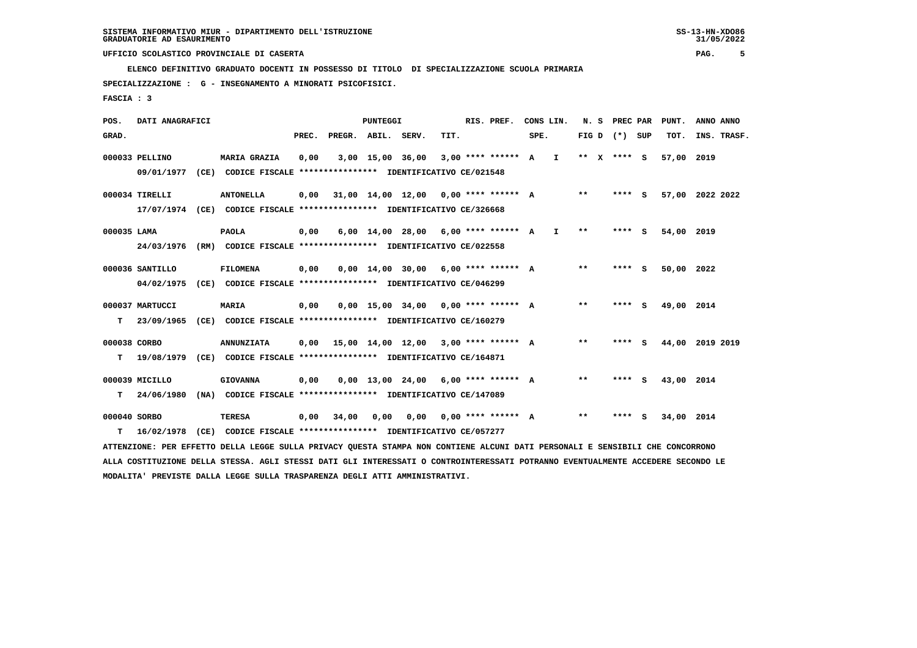**ELENCO DEFINITIVO GRADUATO DOCENTI IN POSSESSO DI TITOLO DI SPECIALIZZAZIONE SCUOLA PRIMARIA**

 **SPECIALIZZAZIONE : G - INSEGNAMENTO A MINORATI PSICOFISICI.**

 **FASCIA : 3**

| POS.         | DATI ANAGRAFICI |      |                                                                                                                               |       |                                      | <b>PUNTEGGI</b>  |                                       |      | RIS. PREF.                  |      | CONS LIN.    | N. S    | PREC PAR          |     | PUNT.      | ANNO ANNO       |
|--------------|-----------------|------|-------------------------------------------------------------------------------------------------------------------------------|-------|--------------------------------------|------------------|---------------------------------------|------|-----------------------------|------|--------------|---------|-------------------|-----|------------|-----------------|
| GRAD.        |                 |      |                                                                                                                               | PREC. | PREGR. ABIL. SERV.                   |                  |                                       | TIT. |                             | SPE. |              |         | FIG $D$ $(*)$ SUP |     | TOT.       | INS. TRASF.     |
|              | 000033 PELLINO  |      | <b>MARIA GRAZIA</b>                                                                                                           | 0,00  |                                      | 3,00 15,00 36,00 |                                       |      | $3,00$ **** ****** A        |      | $\mathbf{I}$ | $***$ X | **** S            |     | 57,00      | 2019            |
|              | 09/01/1977      |      | (CE) CODICE FISCALE **************** IDENTIFICATIVO CE/021548                                                                 |       |                                      |                  |                                       |      |                             |      |              |         |                   |     |            |                 |
|              | 000034 TIRELLI  |      | <b>ANTONELLA</b>                                                                                                              | 0,00  |                                      |                  | 31,00 14,00 12,00                     |      | $0.00$ **** ****** A        |      |              | $***$   | **** S            |     |            | 57,00 2022 2022 |
|              |                 |      | 17/07/1974 (CE) CODICE FISCALE *************** IDENTIFICATIVO CE/326668                                                       |       |                                      |                  |                                       |      |                             |      |              |         |                   |     |            |                 |
| 000035 LAMA  |                 |      | <b>PAOLA</b>                                                                                                                  | 0,00  |                                      |                  | 6,00 14,00 28,00                      |      | $6.00$ **** ****** A        |      | $\mathbf{I}$ | $* *$   | ****              | - 5 | 54,00 2019 |                 |
|              | 24/03/1976      |      | (RM) CODICE FISCALE **************** IDENTIFICATIVO CE/022558                                                                 |       |                                      |                  |                                       |      |                             |      |              |         |                   |     |            |                 |
|              | 000036 SANTILLO |      | <b>FILOMENA</b>                                                                                                               | 0,00  |                                      |                  | $0,00$ $14,00$ $30,00$                |      | $6.00$ **** ****** A        |      |              | $* *$   | **** S            |     | 50,00      | 2022            |
|              | 04/02/1975      |      | (CE) CODICE FISCALE **************** IDENTIFICATIVO CE/046299                                                                 |       |                                      |                  |                                       |      |                             |      |              |         |                   |     |            |                 |
|              | 000037 MARTUCCI |      | <b>MARIA</b>                                                                                                                  | 0,00  |                                      |                  | $0,00$ 15,00 34,00 0,00 **** ****** A |      |                             |      |              | $* *$   | **** S            |     | 49,00 2014 |                 |
| т            | 23/09/1965      |      | (CE) CODICE FISCALE **************** IDENTIFICATIVO CE/160279                                                                 |       |                                      |                  |                                       |      |                             |      |              |         |                   |     |            |                 |
| 000038 CORBO |                 |      | <b>ANNUNZIATA</b>                                                                                                             | 0.00  | 15,00 14,00 12,00 3,00 **** ****** A |                  |                                       |      |                             |      |              | $* *$   | **** S            |     |            | 44,00 2019 2019 |
| т            | 19/08/1979      |      | (CE) CODICE FISCALE **************** IDENTIFICATIVO CE/164871                                                                 |       |                                      |                  |                                       |      |                             |      |              |         |                   |     |            |                 |
|              | 000039 MICILLO  |      | <b>GIOVANNA</b>                                                                                                               | 0,00  |                                      |                  | $0,00$ 13,00 24,00 6,00 **** ****** A |      |                             |      |              | $***$   | **** S            |     | 43,00 2014 |                 |
| т            | 24/06/1980      |      | (NA) CODICE FISCALE **************** IDENTIFICATIVO CE/147089                                                                 |       |                                      |                  |                                       |      |                             |      |              |         |                   |     |            |                 |
| 000040 SORBO |                 |      | <b>TERESA</b>                                                                                                                 | 0,00  | 34,00                                | 0,00             |                                       |      | $0.00$ $0.00$ **** ****** A |      |              | $***$   | **** S            |     | 34,00 2014 |                 |
| т            | 16/02/1978      | (CE) | CODICE FISCALE **************** IDENTIFICATIVO CE/057277                                                                      |       |                                      |                  |                                       |      |                             |      |              |         |                   |     |            |                 |
|              |                 |      | ATTENZIONE: PER EFFETTO DELLA LEGGE SULLA PRIVACY QUESTA STAMPA NON CONTIENE ALCUNI DATI PERSONALI E SENSIBILI CHE CONCORRONO |       |                                      |                  |                                       |      |                             |      |              |         |                   |     |            |                 |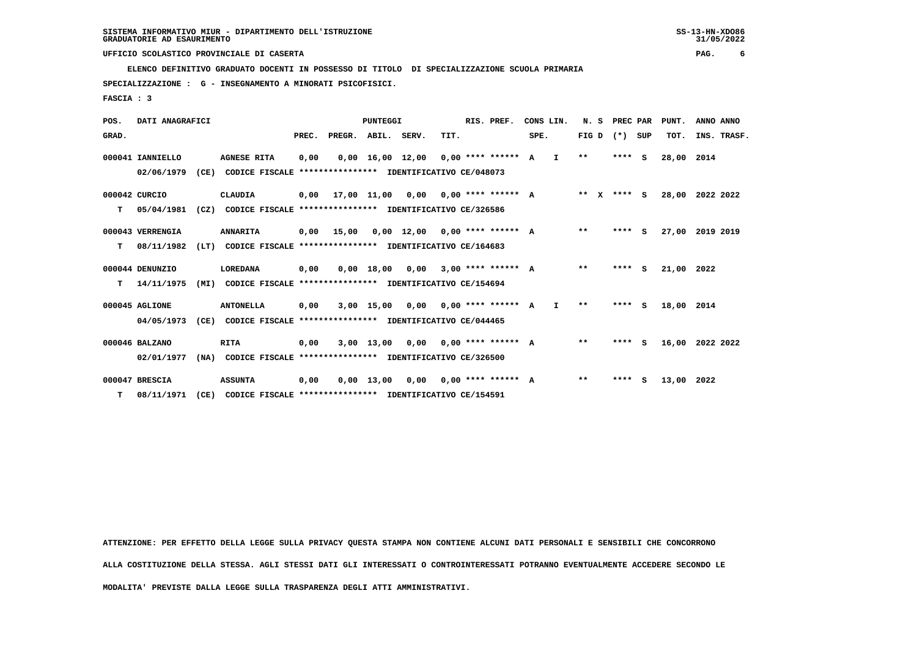**ELENCO DEFINITIVO GRADUATO DOCENTI IN POSSESSO DI TITOLO DI SPECIALIZZAZIONE SCUOLA PRIMARIA**

 **SPECIALIZZAZIONE : G - INSEGNAMENTO A MINORATI PSICOFISICI.**

 **FASCIA : 3**

| POS.  | DATI ANAGRAFICI  |      |                                                          |       |                    | PUNTEGGI     |                                       |      | RIS. PREF.                  |      | CONS LIN.    |              | N. S PREC PAR |          | PUNT.      | ANNO ANNO   |
|-------|------------------|------|----------------------------------------------------------|-------|--------------------|--------------|---------------------------------------|------|-----------------------------|------|--------------|--------------|---------------|----------|------------|-------------|
| GRAD. |                  |      |                                                          | PREC. | PREGR. ABIL. SERV. |              |                                       | TIT. |                             | SPE. |              | FIG D        | $(*)$         | SUP      | TOT.       | INS. TRASF. |
|       | 000041 IANNIELLO |      | <b>AGNESE RITA</b>                                       | 0,00  |                    |              | $0,00$ 16,00 12,00 0,00 **** ****** A |      |                             |      | $\mathbf{I}$ | $**$         | $***$ S       |          | 28,00      | 2014        |
|       | 02/06/1979       | (CE) | CODICE FISCALE **************** IDENTIFICATIVO CE/048073 |       |                    |              |                                       |      |                             |      |              |              |               |          |            |             |
|       | 000042 CURCIO    |      | CLAUDIA                                                  | 0,00  |                    | 17,00 11,00  |                                       |      | $0.00$ $0.00$ **** ****** A |      |              | $***$ X      | **** S        |          | 28,00      | 2022 2022   |
| т     | 05/04/1981       | (CZ) | CODICE FISCALE **************** IDENTIFICATIVO CE/326586 |       |                    |              |                                       |      |                             |      |              |              |               |          |            |             |
|       | 000043 VERRENGIA |      | <b>ANNARITA</b>                                          | 0,00  | 15,00              |              | $0.00$ 12.00 0.00 **** ****** A       |      |                             |      |              | $* *$        | **** S        |          | 27,00      | 2019 2019   |
| т     | 08/11/1982       | (LT) | CODICE FISCALE **************** IDENTIFICATIVO CE/164683 |       |                    |              |                                       |      |                             |      |              |              |               |          |            |             |
|       | 000044 DENUNZIO  |      | LOREDANA                                                 | 0,00  |                    | 0,00 18,00   | 0,00                                  |      | $3.00$ **** ****** A        |      |              | $**$         | ****          | <b>S</b> | 21,00 2022 |             |
| т     | 14/11/1975       | (MI) | CODICE FISCALE **************** IDENTIFICATIVO CE/154694 |       |                    |              |                                       |      |                             |      |              |              |               |          |            |             |
|       | 000045 AGLIONE   |      | <b>ANTONELLA</b>                                         | 0,00  |                    | 3,00 15,00   |                                       |      | $0.00$ $0.00$ **** ****** A |      | $\mathbf{I}$ | $\star\star$ | $***$ S       |          | 18,00      | 2014        |
|       | 04/05/1973       | (CE) | CODICE FISCALE **************** IDENTIFICATIVO CE/044465 |       |                    |              |                                       |      |                             |      |              |              |               |          |            |             |
|       | 000046 BALZANO   |      | RITA                                                     | 0,00  |                    |              | $3,00$ 13,00 0,00 0,00 **** ****** A  |      |                             |      |              | $* *$        | $***$ S       |          | 16,00      | 2022 2022   |
|       | 02/01/1977       | (NA) | CODICE FISCALE **************** IDENTIFICATIVO CE/326500 |       |                    |              |                                       |      |                             |      |              |              |               |          |            |             |
|       | 000047 BRESCIA   |      | <b>ASSUNTA</b>                                           | 0,00  |                    | $0,00$ 13,00 | 0,00                                  |      | $0,00$ **** ****** A        |      |              | $\star\star$ | ****          | s        | 13,00      | 2022        |
| т     | 08/11/1971       | (CE) | CODICE FISCALE **************** IDENTIFICATIVO CE/154591 |       |                    |              |                                       |      |                             |      |              |              |               |          |            |             |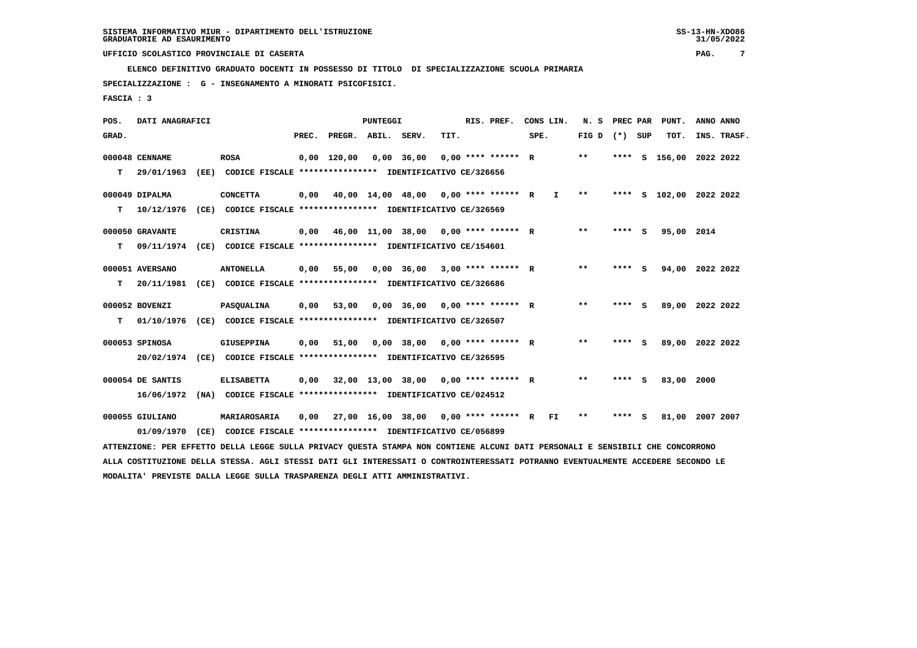**ELENCO DEFINITIVO GRADUATO DOCENTI IN POSSESSO DI TITOLO DI SPECIALIZZAZIONE SCUOLA PRIMARIA**

 **SPECIALIZZAZIONE : G - INSEGNAMENTO A MINORATI PSICOFISICI.**

 **FASCIA : 3**

| POS.  | DATI ANAGRAFICI  |                                                                                                                                 |       |               | PUNTEGGI    |                                        |                    | RIS. PREF.           | CONS LIN. |     | N.S   | PREC PAR |     | PUNT.              | ANNO ANNO |             |
|-------|------------------|---------------------------------------------------------------------------------------------------------------------------------|-------|---------------|-------------|----------------------------------------|--------------------|----------------------|-----------|-----|-------|----------|-----|--------------------|-----------|-------------|
| GRAD. |                  |                                                                                                                                 | PREC. | PREGR.        | ABIL. SERV. |                                        | TIT.               |                      | SPE.      |     | FIG D | (*) SUP  |     | TOT.               |           | INS. TRASF. |
|       | 000048 CENNAME   | <b>ROSA</b>                                                                                                                     |       | $0,00$ 120,00 |             | $0,00$ 36,00                           |                    | $0.00$ **** ****** R |           |     | $***$ | ****     |     | S 156,00 2022 2022 |           |             |
| т     | 29/01/1963       | (EE) CODICE FISCALE **************** IDENTIFICATIVO CE/326656                                                                   |       |               |             |                                        |                    |                      |           |     |       |          |     |                    |           |             |
|       | 000049 DIPALMA   | <b>CONCETTA</b>                                                                                                                 | 0,00  |               |             | 40,00 14,00 48,00 0,00 **** ****** R   |                    |                      |           | I.  | $***$ | ****     |     | S 102,00 2022 2022 |           |             |
| т     | 10/12/1976       | (CE) CODICE FISCALE **************** IDENTIFICATIVO CE/326569                                                                   |       |               |             |                                        |                    |                      |           |     |       |          |     |                    |           |             |
|       | 000050 GRAVANTE  | CRISTINA                                                                                                                        | 0,00  |               |             | 46,00 11,00 38,00 0,00 **** ****** R   |                    |                      |           |     | $* *$ | **** S   |     | 95,00 2014         |           |             |
| т     | 09/11/1974       | (CE) CODICE FISCALE **************** IDENTIFICATIVO CE/154601                                                                   |       |               |             |                                        |                    |                      |           |     |       |          |     |                    |           |             |
|       | 000051 AVERSANO  | <b>ANTONELLA</b>                                                                                                                | 0,00  | 55,00         |             | 0,00 36,00                             |                    | $3.00$ **** ****** R |           |     | $***$ | **** S   |     | 94,00 2022 2022    |           |             |
| т     | 20/11/1981       | (CE) CODICE FISCALE **************** IDENTIFICATIVO CE/326686                                                                   |       |               |             |                                        |                    |                      |           |     |       |          |     |                    |           |             |
|       | 000052 BOVENZI   | <b>PASQUALINA</b>                                                                                                               | 0,00  | 53,00         |             | $0,00$ 36,00 0,00 **** ****** R        |                    |                      |           |     | $***$ | ****     | - S | 89,00 2022 2022    |           |             |
| т     | 01/10/1976       | (CE) CODICE FISCALE **************** IDENTIFICATIVO CE/326507                                                                   |       |               |             |                                        |                    |                      |           |     |       |          |     |                    |           |             |
|       | 000053 SPINOSA   | <b>GIUSEPPINA</b>                                                                                                               | 0,00  | 51,00         |             | $0.00$ 38.00                           | 0,00 **** ****** R |                      |           |     | $**$  | **** S   |     | 89,00 2022 2022    |           |             |
|       | 20/02/1974       | (CE) CODICE FISCALE **************** IDENTIFICATIVO CE/326595                                                                   |       |               |             |                                        |                    |                      |           |     |       |          |     |                    |           |             |
|       | 000054 DE SANTIS | <b>ELISABETTA</b>                                                                                                               | 0,00  |               |             | $32,00$ 13,00 38,00 0,00 **** ****** R |                    |                      |           |     | $***$ | ****     | - S | 83,00              | 2000      |             |
|       | 16/06/1972       | (NA) CODICE FISCALE **************** IDENTIFICATIVO CE/024512                                                                   |       |               |             |                                        |                    |                      |           |     |       |          |     |                    |           |             |
|       | 000055 GIULIANO  | MARIAROSARIA                                                                                                                    | 0,00  |               |             | 27,00 16,00 38,00 0,00 **** ****** R   |                    |                      |           | FI. | $* *$ | ****     | - S | 81,00              | 2007 2007 |             |
|       | 01/09/1970       | (CE) CODICE FISCALE **************** IDENTIFICATIVO CE/056899                                                                   |       |               |             |                                        |                    |                      |           |     |       |          |     |                    |           |             |
|       |                  | ATTENZIONE: PER EFFETTO DELLA LEGGE SULLA PRIVACY QUESTA STAMPA NON CONTIENE ALCUNI DATI PERSONALI E SENSIBILI CHE CONCORRONO   |       |               |             |                                        |                    |                      |           |     |       |          |     |                    |           |             |
|       |                  | ALLA COSTITUZIONE DELLA STESSA. AGLI STESSI DATI GLI INTERESSATI O CONTROINTERESSATI POTRANNO EVENTUALMENTE ACCEDERE SECONDO LE |       |               |             |                                        |                    |                      |           |     |       |          |     |                    |           |             |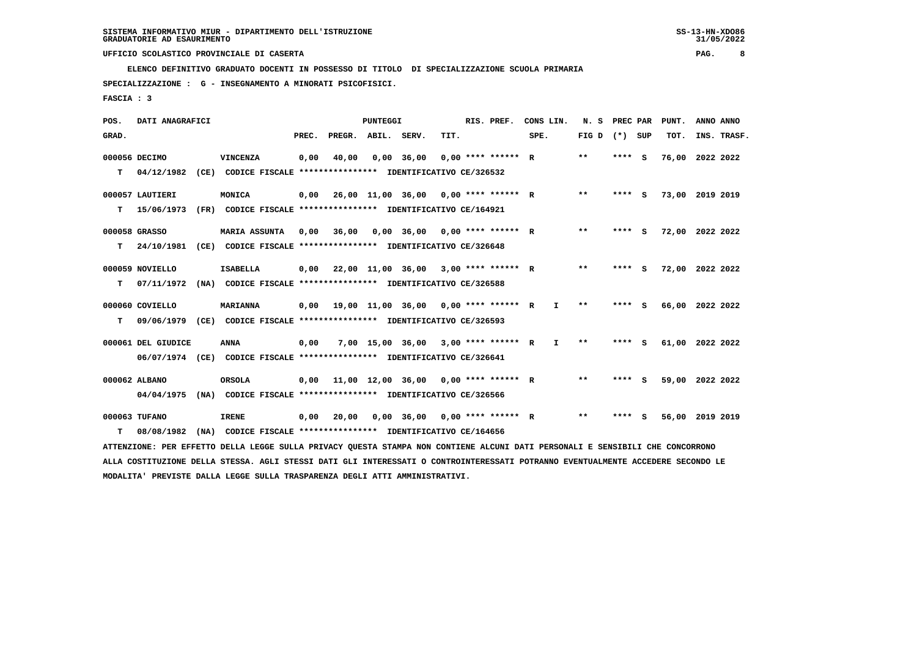**ELENCO DEFINITIVO GRADUATO DOCENTI IN POSSESSO DI TITOLO DI SPECIALIZZAZIONE SCUOLA PRIMARIA**

 **SPECIALIZZAZIONE : G - INSEGNAMENTO A MINORATI PSICOFISICI.**

 **FASCIA : 3**

| POS.  | DATI ANAGRAFICI    |                                                                                                                                 |       |                                      | PUNTEGGI |                                                   |      | RIS. PREF.           | CONS LIN.    |       | N. S PREC PAR   | PUNT.           | ANNO ANNO |             |
|-------|--------------------|---------------------------------------------------------------------------------------------------------------------------------|-------|--------------------------------------|----------|---------------------------------------------------|------|----------------------|--------------|-------|-----------------|-----------------|-----------|-------------|
| GRAD. |                    |                                                                                                                                 | PREC. | PREGR. ABIL. SERV.                   |          |                                                   | TIT. |                      | SPE.         |       | FIG D $(*)$ SUP | TOT.            |           | INS. TRASF. |
|       |                    |                                                                                                                                 |       |                                      |          |                                                   |      |                      |              |       |                 |                 |           |             |
|       | 000056 DECIMO      | <b>VINCENZA</b>                                                                                                                 | 0,00  | 40,00                                |          | $0.00$ 36.00                                      |      | $0.00$ **** ****** R |              | $* *$ | **** S          | 76,00           | 2022 2022 |             |
| т     | 04/12/1982         | (CE) CODICE FISCALE **************** IDENTIFICATIVO CE/326532                                                                   |       |                                      |          |                                                   |      |                      |              |       |                 |                 |           |             |
|       | 000057 LAUTIERI    | MONICA                                                                                                                          | 0,00  |                                      |          | 26,00 11,00 36,00 0,00 **** ****** R              |      |                      |              | $* *$ | **** S          | 73,00 2019 2019 |           |             |
| т     | 15/06/1973         | (FR) CODICE FISCALE **************** IDENTIFICATIVO CE/164921                                                                   |       |                                      |          |                                                   |      |                      |              |       |                 |                 |           |             |
|       |                    |                                                                                                                                 |       |                                      |          |                                                   |      |                      |              |       |                 |                 |           |             |
|       | 000058 GRASSO      | <b>MARIA ASSUNTA</b>                                                                                                            | 0.00  | 36,00                                |          | $0,00$ 36,00 0,00 **** ****** R                   |      |                      |              | $***$ | **** S          | 72,00 2022 2022 |           |             |
| т     |                    | 24/10/1981 (CE) CODICE FISCALE **************** IDENTIFICATIVO CE/326648                                                        |       |                                      |          |                                                   |      |                      |              |       |                 |                 |           |             |
|       |                    |                                                                                                                                 |       |                                      |          |                                                   |      |                      |              |       |                 |                 |           |             |
|       | 000059 NOVIELLO    | <b>ISABELLA</b>                                                                                                                 | 0,00  | 22,00 11,00 36,00                    |          |                                                   |      | 3,00 **** ****** R   |              | $**$  | **** S          | 72,00 2022 2022 |           |             |
| т     | 07/11/1972         | (NA) CODICE FISCALE **************** IDENTIFICATIVO CE/326588                                                                   |       |                                      |          |                                                   |      |                      |              |       |                 |                 |           |             |
|       | 000060 COVIELLO    | <b>MARIANNA</b>                                                                                                                 | 0.00  | 19,00 11,00 36,00 0,00 **** ****** R |          |                                                   |      |                      | $\mathbf{I}$ | $***$ | **** S          | 66,00 2022 2022 |           |             |
| т     | 09/06/1979         | (CE) CODICE FISCALE **************** IDENTIFICATIVO CE/326593                                                                   |       |                                      |          |                                                   |      |                      |              |       |                 |                 |           |             |
|       |                    |                                                                                                                                 |       |                                      |          |                                                   |      |                      |              |       |                 |                 |           |             |
|       | 000061 DEL GIUDICE | <b>ANNA</b>                                                                                                                     | 0,00  |                                      |          | 7,00 15,00 36,00 3,00 **** ****** R               |      |                      | $\mathbf{I}$ | $***$ | **** S          | 61,00 2022 2022 |           |             |
|       |                    | 06/07/1974 (CE) CODICE FISCALE *************** IDENTIFICATIVO CE/326641                                                         |       |                                      |          |                                                   |      |                      |              |       |                 |                 |           |             |
|       |                    |                                                                                                                                 |       |                                      |          |                                                   |      |                      |              |       |                 |                 |           |             |
|       | 000062 ALBANO      | <b>ORSOLA</b>                                                                                                                   | 0,00  |                                      |          | $11,00$ $12,00$ $36,00$ $0,00$ $***$ **** ***** R |      |                      |              | $***$ | **** S          | 59,00 2022 2022 |           |             |
|       | 04/04/1975         | (NA) CODICE FISCALE *************** IDENTIFICATIVO CE/326566                                                                    |       |                                      |          |                                                   |      |                      |              |       |                 |                 |           |             |
|       |                    |                                                                                                                                 |       |                                      |          |                                                   |      |                      |              |       |                 |                 |           |             |
|       | 000063 TUFANO      | <b>IRENE</b>                                                                                                                    | 0,00  | 20,00                                |          | $0.00$ 36.00 0.00 **** ****** R                   |      |                      |              | $***$ | **** S          | 56,00 2019 2019 |           |             |
| т     | 08/08/1982         | (NA) CODICE FISCALE **************** IDENTIFICATIVO CE/164656                                                                   |       |                                      |          |                                                   |      |                      |              |       |                 |                 |           |             |
|       |                    | ATTENZIONE: PER EFFETTO DELLA LEGGE SULLA PRIVACY OUESTA STAMPA NON CONTIENE ALCUNI DATI PERSONALI E SENSIBILI CHE CONCORRONO   |       |                                      |          |                                                   |      |                      |              |       |                 |                 |           |             |
|       |                    | ALLA COSTITUZIONE DELLA STESSA. AGLI STESSI DATI GLI INTERESSATI O CONTROINTERESSATI POTRANNO EVENTUALMENTE ACCEDERE SECONDO LE |       |                                      |          |                                                   |      |                      |              |       |                 |                 |           |             |
|       |                    | MODALITA' PREVISTE DALLA LEGGE SULLA TRASPARENZA DEGLI ATTI AMMINISTRATIVI.                                                     |       |                                      |          |                                                   |      |                      |              |       |                 |                 |           |             |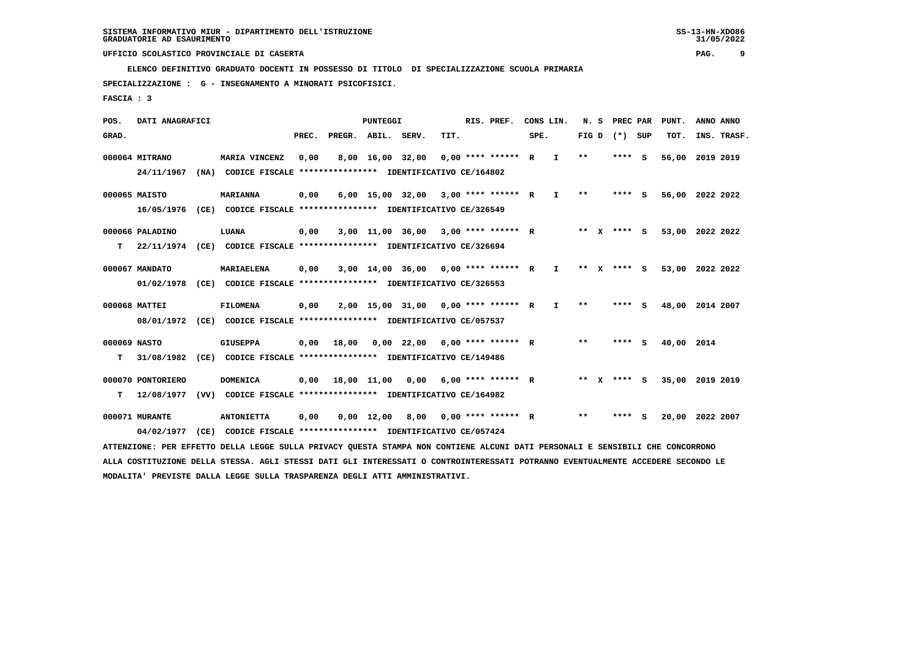**ELENCO DEFINITIVO GRADUATO DOCENTI IN POSSESSO DI TITOLO DI SPECIALIZZAZIONE SCUOLA PRIMARIA**

 **SPECIALIZZAZIONE : G - INSEGNAMENTO A MINORATI PSICOFISICI.**

 **FASCIA : 3**

 **POS. DATI ANAGRAFICI PUNTEGGI RIS. PREF. CONS LIN. N. S PREC PAR PUNT. ANNO ANNO**GRAD. **PREGRADE SERVEGE SERVE SERVE SPEREGE SPEREGALES SPEREGALES SPEREGALES SPEREGALES SPEREGALES SUP TOT. INS. TRASF. 000064 MITRANO MARIA VINCENZ 0,00 8,00 16,00 32,00 0,00 \*\*\*\* \*\*\*\*\*\* R I \*\* \*\*\*\* S 56,00 2019 2019 24/11/1967 (NA) CODICE FISCALE \*\*\*\*\*\*\*\*\*\*\*\*\*\*\*\* IDENTIFICATIVO CE/164802 000065 MAISTO MARIANNA 0,00 6,00 15,00 32,00 3,00 \*\*\*\* \*\*\*\*\*\* R I \*\* \*\*\*\* S 56,00 2022 2022 16/05/1976 (CE) CODICE FISCALE \*\*\*\*\*\*\*\*\*\*\*\*\*\*\*\* IDENTIFICATIVO CE/326549 000066 PALADINO LUANA 0,00 3,00 11,00 36,00 3,00 \*\*\*\* \*\*\*\*\*\* R \*\* X \*\*\*\* S 53,00 2022 2022 T 22/11/1974 (CE) CODICE FISCALE \*\*\*\*\*\*\*\*\*\*\*\*\*\*\*\* IDENTIFICATIVO CE/326694 000067 MANDATO MARIAELENA 0,00 3,00 14,00 36,00 0,00 \*\*\*\* \*\*\*\*\*\* R I \*\* X \*\*\*\* S 53,00 2022 2022 01/02/1978 (CE) CODICE FISCALE \*\*\*\*\*\*\*\*\*\*\*\*\*\*\*\* IDENTIFICATIVO CE/326553 000068 MATTEI FILOMENA 0,00 2,00 15,00 31,00 0,00 \*\*\*\* \*\*\*\*\*\* R I \*\* \*\*\*\* S 48,00 2014 2007 08/01/1972 (CE) CODICE FISCALE \*\*\*\*\*\*\*\*\*\*\*\*\*\*\*\* IDENTIFICATIVO CE/057537 000069 NASTO GIUSEPPA 0,00 18,00 0,00 22,00 0,00 \*\*\*\* \*\*\*\*\*\* R \*\* \*\*\*\* S 40,00 2014 T 31/08/1982 (CE) CODICE FISCALE \*\*\*\*\*\*\*\*\*\*\*\*\*\*\*\* IDENTIFICATIVO CE/149486 000070 PONTORIERO DOMENICA 0,00 18,00 11,00 0,00 6,00 \*\*\*\* \*\*\*\*\*\* R \*\* X \*\*\*\* S 35,00 2019 2019 T 12/08/1977 (VV) CODICE FISCALE \*\*\*\*\*\*\*\*\*\*\*\*\*\*\*\* IDENTIFICATIVO CE/164982 000071 MURANTE ANTONIETTA 0,00 0,00 12,00 8,00 0,00 \*\*\*\* \*\*\*\*\*\* R \*\* \*\*\*\* S 20,00 2022 2007 04/02/1977 (CE) CODICE FISCALE \*\*\*\*\*\*\*\*\*\*\*\*\*\*\*\* IDENTIFICATIVO CE/057424 ATTENZIONE: PER EFFETTO DELLA LEGGE SULLA PRIVACY QUESTA STAMPA NON CONTIENE ALCUNI DATI PERSONALI E SENSIBILI CHE CONCORRONO ALLA COSTITUZIONE DELLA STESSA. AGLI STESSI DATI GLI INTERESSATI O CONTROINTERESSATI POTRANNO EVENTUALMENTE ACCEDERE SECONDO LE**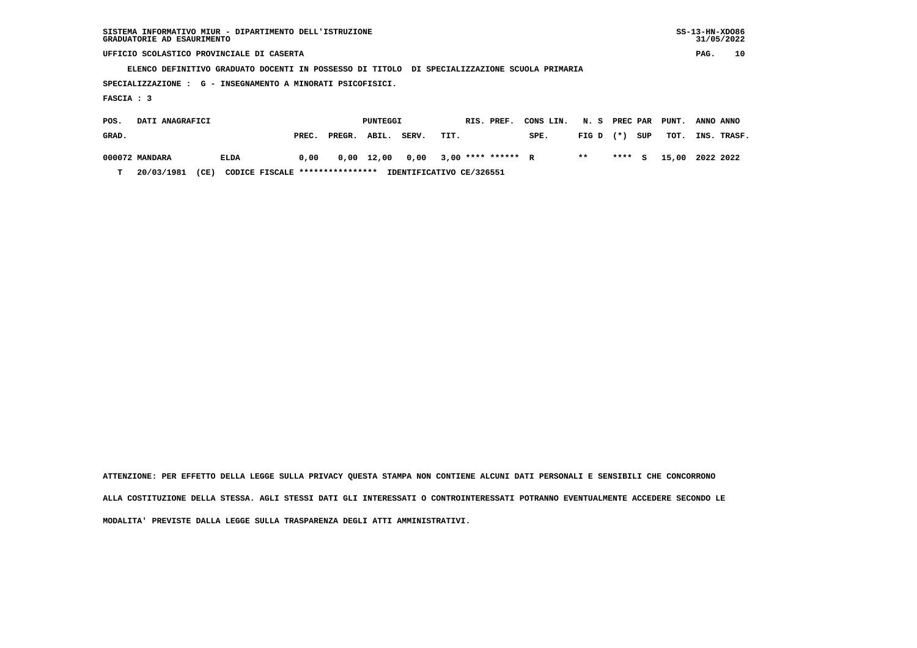| SISTEMA INFORMATIVO MIUR - DIPARTIMENTO DELL'ISTRUZIONE | $SS-13-HN-XDO86$ |
|---------------------------------------------------------|------------------|
| GRADUATORIE AD ESAURIMENTO                              | 31/05/2022       |

 $SS-13-HN-XDO86$  $31/05/2022$ 

## **UFFICIO SCOLASTICO PROVINCIALE DI CASERTA PAG. 10**

 **ELENCO DEFINITIVO GRADUATO DOCENTI IN POSSESSO DI TITOLO DI SPECIALIZZAZIONE SCUOLA PRIMARIA**

 **SPECIALIZZAZIONE : G - INSEGNAMENTO A MINORATI PSICOFISICI.**

 **FASCIA : 3**

| POS.  | DATI ANAGRAFICI |                                         |       |              | PUNTEGGI |       | RIS. PREF. CONS LIN. N. S PREC PAR PUNT. ANNO ANNO     |      |             |     |                        |             |  |
|-------|-----------------|-----------------------------------------|-------|--------------|----------|-------|--------------------------------------------------------|------|-------------|-----|------------------------|-------------|--|
| GRAD. |                 |                                         | PREC. | PREGR. ABIL. |          | SERV. | TIT.                                                   | SPE. | FIG D $(*)$ | SUP | тот.                   | INS. TRASF. |  |
|       | 000072 MANDARA  | <b>ELDA</b>                             |       |              |          |       | $0.00$ $0.00$ $12.00$ $0.00$ $3.00$ $***$ **** ***** R |      | $* *$       |     | **** S 15,00 2022 2022 |             |  |
| T     | 20/03/1981      | CODICE FISCALE ****************<br>(CE) |       |              |          |       | IDENTIFICATIVO CE/326551                               |      |             |     |                        |             |  |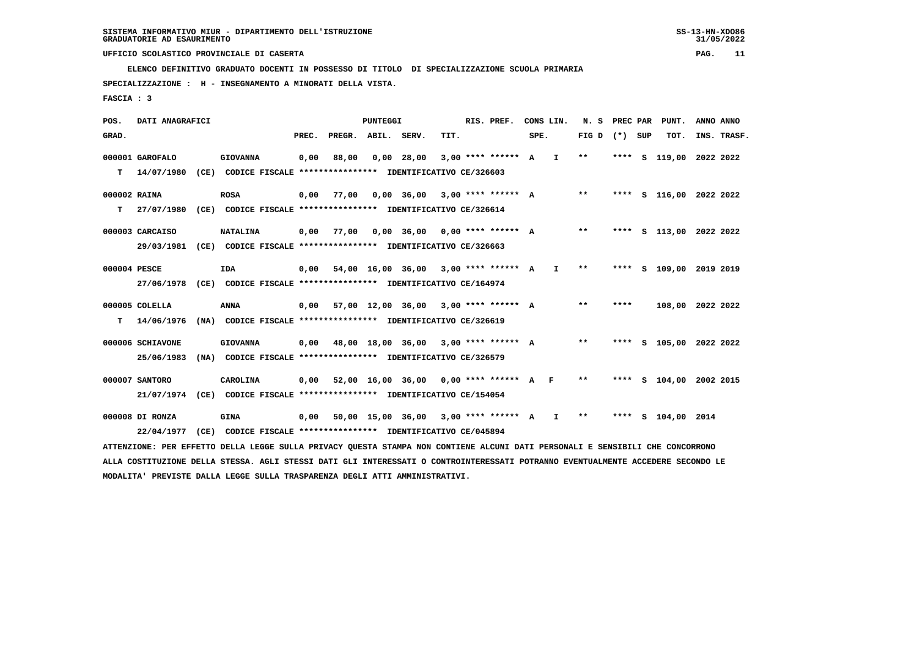**ELENCO DEFINITIVO GRADUATO DOCENTI IN POSSESSO DI TITOLO DI SPECIALIZZAZIONE SCUOLA PRIMARIA**

 **SPECIALIZZAZIONE : H - INSEGNAMENTO A MINORATI DELLA VISTA.**

 **FASCIA : 3**

| POS.         | DATI ANAGRAFICI  |                                                                                                                                 |       |                    | <b>PUNTEGGI</b> |              |                                               | RIS. PREF. |      | CONS LIN.    |                 | N. S PREC PAR | PUNT.                   | ANNO ANNO |             |
|--------------|------------------|---------------------------------------------------------------------------------------------------------------------------------|-------|--------------------|-----------------|--------------|-----------------------------------------------|------------|------|--------------|-----------------|---------------|-------------------------|-----------|-------------|
| GRAD.        |                  |                                                                                                                                 | PREC. | PREGR. ABIL. SERV. |                 |              | TIT.                                          |            | SPE. |              | FIG D $(*)$ SUP |               | TOT.                    |           | INS. TRASF. |
|              | 000001 GAROFALO  | <b>GIOVANNA</b>                                                                                                                 | 0,00  | 88,00              |                 | $0,00$ 28,00 | $3.00********* A I$                           |            |      |              | $* *$           | **** S        | 119,00 2022 2022        |           |             |
| T.           | 14/07/1980       | (CE) CODICE FISCALE **************** IDENTIFICATIVO CE/326603                                                                   |       |                    |                 |              |                                               |            |      |              |                 |               |                         |           |             |
| 000002 RAINA |                  | <b>ROSA</b>                                                                                                                     | 0,00  | 77,00              |                 |              | 0,00 36,00 3,00 **** ****** A                 |            |      |              | $***$           |               | **** S 116,00 2022 2022 |           |             |
| т            | 27/07/1980       | (CE) CODICE FISCALE **************** IDENTIFICATIVO CE/326614                                                                   |       |                    |                 |              |                                               |            |      |              |                 |               |                         |           |             |
|              | 000003 CARCAISO  | <b>NATALINA</b>                                                                                                                 | 0,00  | 77,00              |                 |              | $0,00$ 36,00 0,00 **** ****** A               |            |      |              | $***$           |               | **** S 113,00 2022 2022 |           |             |
|              | 29/03/1981       | (CE) CODICE FISCALE **************** IDENTIFICATIVO CE/326663                                                                   |       |                    |                 |              |                                               |            |      |              |                 |               |                         |           |             |
| 000004 PESCE |                  | <b>IDA</b>                                                                                                                      | 0,00  |                    |                 |              | $54,00$ 16,00 36,00 3,00 **** ****** A        |            |      | $\mathbf{I}$ | $***$           |               | **** S 109,00 2019 2019 |           |             |
|              |                  | 27/06/1978 (CE) CODICE FISCALE *************** IDENTIFICATIVO CE/164974                                                         |       |                    |                 |              |                                               |            |      |              |                 |               |                         |           |             |
|              | 000005 COLELLA   | <b>ANNA</b>                                                                                                                     | 0,00  |                    |                 |              | 57,00 12,00 36,00 3,00 **** ****** A          |            |      |              | $***$           | ****          | 108,00 2022 2022        |           |             |
| T.           | 14/06/1976       | (NA) CODICE FISCALE **************** IDENTIFICATIVO CE/326619                                                                   |       |                    |                 |              |                                               |            |      |              |                 |               |                         |           |             |
|              | 000006 SCHIAVONE | <b>GIOVANNA</b>                                                                                                                 |       |                    |                 |              | $0,00$ 48,00 18,00 36,00 3,00 **** ****** A   |            |      |              | **              |               | **** S 105,00 2022 2022 |           |             |
|              | 25/06/1983       | (NA) CODICE FISCALE **************** IDENTIFICATIVO CE/326579                                                                   |       |                    |                 |              |                                               |            |      |              |                 |               |                         |           |             |
|              | 000007 SANTORO   | CAROLINA                                                                                                                        |       |                    |                 |              | $0,00$ 52,00 16,00 36,00 0,00 **** ****** A F |            |      |              | $***$           |               | **** S 104,00 2002 2015 |           |             |
|              |                  | 21/07/1974 (CE) CODICE FISCALE *************** IDENTIFICATIVO CE/154054                                                         |       |                    |                 |              |                                               |            |      |              |                 |               |                         |           |             |
|              | 000008 DI RONZA  | <b>GINA</b>                                                                                                                     |       |                    |                 |              | $0,00$ 50,00 15,00 36,00 3,00 **** ****** A   |            |      | $\mathbf{I}$ | $***$           |               | **** S 104,00 2014      |           |             |
|              | 22/04/1977       | (CE) CODICE FISCALE **************** IDENTIFICATIVO CE/045894                                                                   |       |                    |                 |              |                                               |            |      |              |                 |               |                         |           |             |
|              |                  | ATTENZIONE: PER EFFETTO DELLA LEGGE SULLA PRIVACY QUESTA STAMPA NON CONTIENE ALCUNI DATI PERSONALI E SENSIBILI CHE CONCORRONO   |       |                    |                 |              |                                               |            |      |              |                 |               |                         |           |             |
|              |                  | ALLA COSTITUZIONE DELLA STESSA. AGLI STESSI DATI GLI INTERESSATI O CONTROINTERESSATI POTRANNO EVENTUALMENTE ACCEDERE SECONDO LE |       |                    |                 |              |                                               |            |      |              |                 |               |                         |           |             |
|              |                  |                                                                                                                                 |       |                    |                 |              |                                               |            |      |              |                 |               |                         |           |             |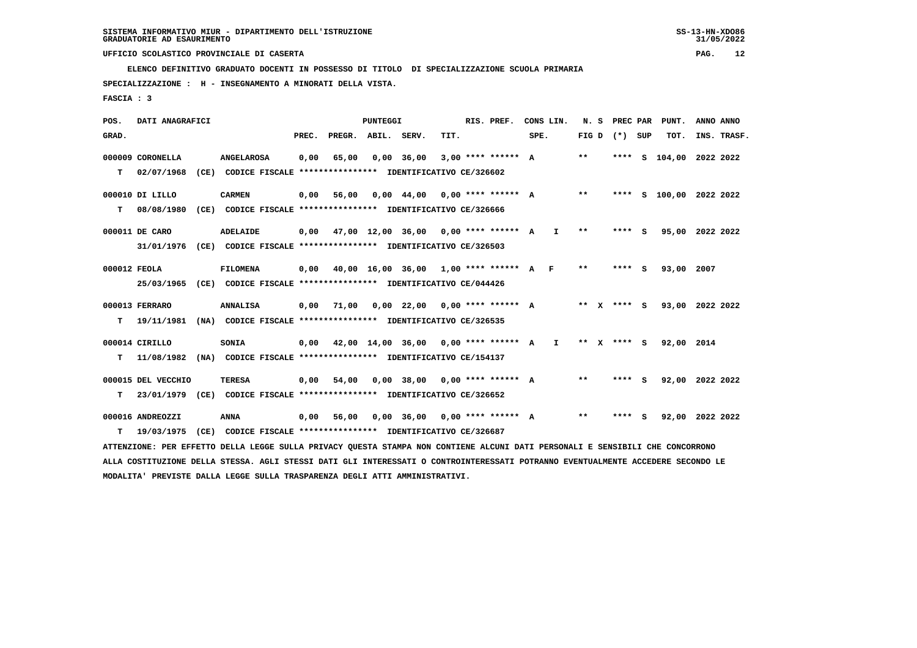**ELENCO DEFINITIVO GRADUATO DOCENTI IN POSSESSO DI TITOLO DI SPECIALIZZAZIONE SCUOLA PRIMARIA**

 **SPECIALIZZAZIONE : H - INSEGNAMENTO A MINORATI DELLA VISTA.**

 **FASCIA : 3**

 **POS. DATI ANAGRAFICI PUNTEGGI RIS. PREF. CONS LIN. N. S PREC PAR PUNT. ANNO ANNO**GRAD. **PREGRADE SERVEGE SERVE SERVE SPEREGE SPEREGALES SPEREGALES SPEREGALES SPEREGALES SPEREGALES SUP TOT. INS. TRASF. 000009 CORONELLA ANGELAROSA 0,00 65,00 0,00 36,00 3,00 \*\*\*\* \*\*\*\*\*\* A \*\* \*\*\*\* S 104,00 2022 2022 T 02/07/1968 (CE) CODICE FISCALE \*\*\*\*\*\*\*\*\*\*\*\*\*\*\*\* IDENTIFICATIVO CE/326602 000010 DI LILLO CARMEN 0,00 56,00 0,00 44,00 0,00 \*\*\*\* \*\*\*\*\*\* A \*\* \*\*\*\* S 100,00 2022 2022 T 08/08/1980 (CE) CODICE FISCALE \*\*\*\*\*\*\*\*\*\*\*\*\*\*\*\* IDENTIFICATIVO CE/326666 000011 DE CARO ADELAIDE 0,00 47,00 12,00 36,00 0,00 \*\*\*\* \*\*\*\*\*\* A I \*\* \*\*\*\* S 95,00 2022 2022 31/01/1976 (CE) CODICE FISCALE \*\*\*\*\*\*\*\*\*\*\*\*\*\*\*\* IDENTIFICATIVO CE/326503 000012 FEOLA FILOMENA 0,00 40,00 16,00 36,00 1,00 \*\*\*\* \*\*\*\*\*\* A F \*\* \*\*\*\* S 93,00 2007 25/03/1965 (CE) CODICE FISCALE \*\*\*\*\*\*\*\*\*\*\*\*\*\*\*\* IDENTIFICATIVO CE/044426 000013 FERRARO ANNALISA 0,00 71,00 0,00 22,00 0,00 \*\*\*\* \*\*\*\*\*\* A \*\* X \*\*\*\* S 93,00 2022 2022 T 19/11/1981 (NA) CODICE FISCALE \*\*\*\*\*\*\*\*\*\*\*\*\*\*\*\* IDENTIFICATIVO CE/326535 000014 CIRILLO SONIA 0,00 42,00 14,00 36,00 0,00 \*\*\*\* \*\*\*\*\*\* A I \*\* X \*\*\*\* S 92,00 2014 T 11/08/1982 (NA) CODICE FISCALE \*\*\*\*\*\*\*\*\*\*\*\*\*\*\*\* IDENTIFICATIVO CE/154137 000015 DEL VECCHIO TERESA 0,00 54,00 0,00 38,00 0,00 \*\*\*\* \*\*\*\*\*\* A \*\* \*\*\*\* S 92,00 2022 2022 T 23/01/1979 (CE) CODICE FISCALE \*\*\*\*\*\*\*\*\*\*\*\*\*\*\*\* IDENTIFICATIVO CE/326652 000016 ANDREOZZI ANNA 0,00 56,00 0,00 36,00 0,00 \*\*\*\* \*\*\*\*\*\* A \*\* \*\*\*\* S 92,00 2022 2022 T 19/03/1975 (CE) CODICE FISCALE \*\*\*\*\*\*\*\*\*\*\*\*\*\*\*\* IDENTIFICATIVO CE/326687 ATTENZIONE: PER EFFETTO DELLA LEGGE SULLA PRIVACY QUESTA STAMPA NON CONTIENE ALCUNI DATI PERSONALI E SENSIBILI CHE CONCORRONO ALLA COSTITUZIONE DELLA STESSA. AGLI STESSI DATI GLI INTERESSATI O CONTROINTERESSATI POTRANNO EVENTUALMENTE ACCEDERE SECONDO LE MODALITA' PREVISTE DALLA LEGGE SULLA TRASPARENZA DEGLI ATTI AMMINISTRATIVI.**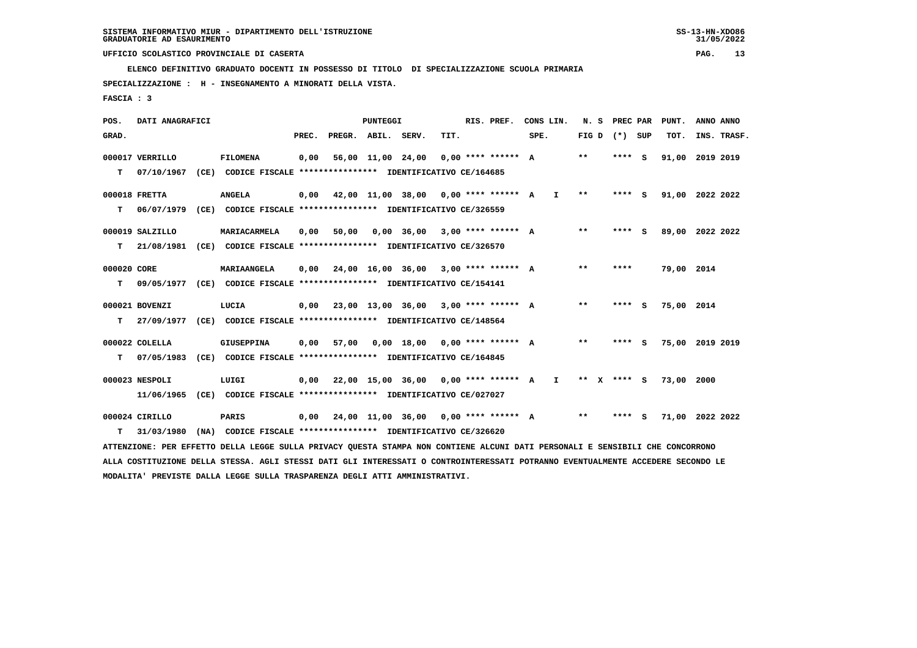**ELENCO DEFINITIVO GRADUATO DOCENTI IN POSSESSO DI TITOLO DI SPECIALIZZAZIONE SCUOLA PRIMARIA**

 **SPECIALIZZAZIONE : H - INSEGNAMENTO A MINORATI DELLA VISTA.**

 **FASCIA : 3**

 **POS. DATI ANAGRAFICI PUNTEGGI RIS. PREF. CONS LIN. N. S PREC PAR PUNT. ANNO ANNO**GRAD. **PREGRADE SERVEGE SERVE SERVE SPEREGE SPEREGALES SPEREGALES SPEREGALES SPEREGALES SPEREGALES SUP TOT. INS. TRASF. 000017 VERRILLO FILOMENA 0,00 56,00 11,00 24,00 0,00 \*\*\*\* \*\*\*\*\*\* A \*\* \*\*\*\* S 91,00 2019 2019 T 07/10/1967 (CE) CODICE FISCALE \*\*\*\*\*\*\*\*\*\*\*\*\*\*\*\* IDENTIFICATIVO CE/164685 000018 FRETTA ANGELA 0,00 42,00 11,00 38,00 0,00 \*\*\*\* \*\*\*\*\*\* A I \*\* \*\*\*\* S 91,00 2022 2022 T 06/07/1979 (CE) CODICE FISCALE \*\*\*\*\*\*\*\*\*\*\*\*\*\*\*\* IDENTIFICATIVO CE/326559 000019 SALZILLO MARIACARMELA 0,00 50,00 0,00 36,00 3,00 \*\*\*\* \*\*\*\*\*\* A \*\* \*\*\*\* S 89,00 2022 2022 T 21/08/1981 (CE) CODICE FISCALE \*\*\*\*\*\*\*\*\*\*\*\*\*\*\*\* IDENTIFICATIVO CE/326570 000020 CORE MARIAANGELA 0,00 24,00 16,00 36,00 3,00 \*\*\*\* \*\*\*\*\*\* A \*\* \*\*\*\* 79,00 2014 T 09/05/1977 (CE) CODICE FISCALE \*\*\*\*\*\*\*\*\*\*\*\*\*\*\*\* IDENTIFICATIVO CE/154141 000021 BOVENZI LUCIA 0,00 23,00 13,00 36,00 3,00 \*\*\*\* \*\*\*\*\*\* A \*\* \*\*\*\* S 75,00 2014 T 27/09/1977 (CE) CODICE FISCALE \*\*\*\*\*\*\*\*\*\*\*\*\*\*\*\* IDENTIFICATIVO CE/148564 000022 COLELLA GIUSEPPINA 0,00 57,00 0,00 18,00 0,00 \*\*\*\* \*\*\*\*\*\* A \*\* \*\*\*\* S 75,00 2019 2019 T 07/05/1983 (CE) CODICE FISCALE \*\*\*\*\*\*\*\*\*\*\*\*\*\*\*\* IDENTIFICATIVO CE/164845 000023 NESPOLI LUIGI 0,00 22,00 15,00 36,00 0,00 \*\*\*\* \*\*\*\*\*\* A I \*\* X \*\*\*\* S 73,00 2000 11/06/1965 (CE) CODICE FISCALE \*\*\*\*\*\*\*\*\*\*\*\*\*\*\*\* IDENTIFICATIVO CE/027027 000024 CIRILLO PARIS 0,00 24,00 11,00 36,00 0,00 \*\*\*\* \*\*\*\*\*\* A \*\* \*\*\*\* S 71,00 2022 2022 T 31/03/1980 (NA) CODICE FISCALE \*\*\*\*\*\*\*\*\*\*\*\*\*\*\*\* IDENTIFICATIVO CE/326620 ATTENZIONE: PER EFFETTO DELLA LEGGE SULLA PRIVACY QUESTA STAMPA NON CONTIENE ALCUNI DATI PERSONALI E SENSIBILI CHE CONCORRONO ALLA COSTITUZIONE DELLA STESSA. AGLI STESSI DATI GLI INTERESSATI O CONTROINTERESSATI POTRANNO EVENTUALMENTE ACCEDERE SECONDO LE MODALITA' PREVISTE DALLA LEGGE SULLA TRASPARENZA DEGLI ATTI AMMINISTRATIVI.**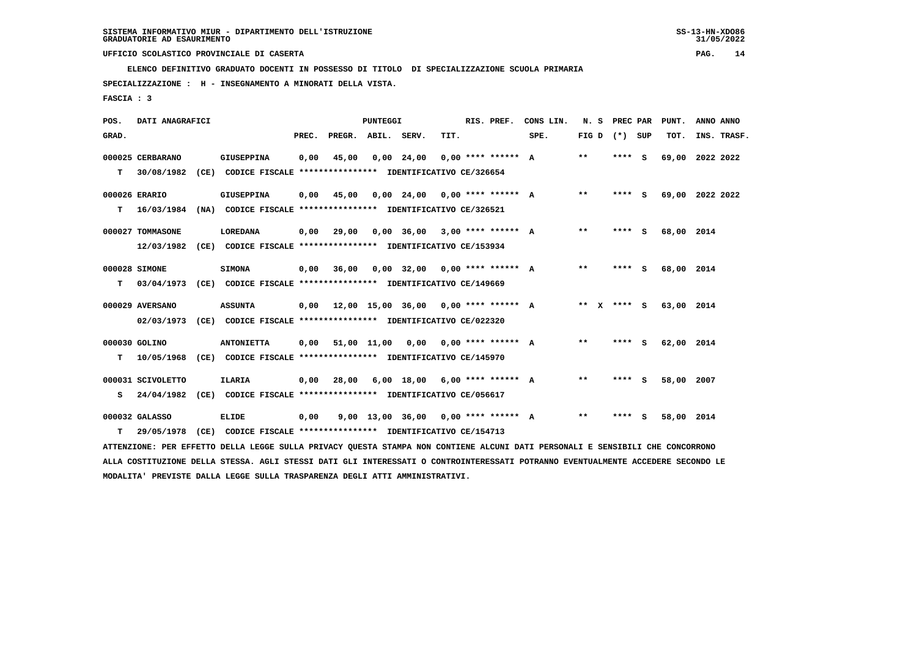**ELENCO DEFINITIVO GRADUATO DOCENTI IN POSSESSO DI TITOLO DI SPECIALIZZAZIONE SCUOLA PRIMARIA**

 **SPECIALIZZAZIONE : H - INSEGNAMENTO A MINORATI DELLA VISTA.**

 **FASCIA : 3**

| POS.  | DATI ANAGRAFICI   |                                                                                                                               |       |                                            | <b>PUNTEGGI</b> |                                     |      | RIS. PREF.           | CONS LIN.                                 | N. S PREC PAR     |         | PUNT.           | ANNO ANNO |             |
|-------|-------------------|-------------------------------------------------------------------------------------------------------------------------------|-------|--------------------------------------------|-----------------|-------------------------------------|------|----------------------|-------------------------------------------|-------------------|---------|-----------------|-----------|-------------|
| GRAD. |                   |                                                                                                                               | PREC. | PREGR. ABIL. SERV.                         |                 |                                     | TIT. |                      | SPE.                                      | FIG $D$ $(*)$ SUP |         | TOT.            |           | INS. TRASF. |
|       | 000025 CERBARANO  | <b>GIUSEPPINA</b>                                                                                                             | 0,00  | 45,00                                      |                 | $0,00$ 24,00                        |      | $0.00$ **** ****** A |                                           | $***$             | **** S  | 69,00 2022 2022 |           |             |
| T.    | 30/08/1982        | (CE) CODICE FISCALE **************** IDENTIFICATIVO CE/326654                                                                 |       |                                            |                 |                                     |      |                      |                                           |                   |         |                 |           |             |
|       | 000026 ERARIO     | <b>GIUSEPPINA</b>                                                                                                             | 0,00  | 45,00                                      |                 | $0,00$ 24,00 0,00 **** ****** A     |      |                      |                                           | $* *$             | **** S  | 69,00 2022 2022 |           |             |
| T.    | 16/03/1984        | (NA) CODICE FISCALE **************** IDENTIFICATIVO CE/326521                                                                 |       |                                            |                 |                                     |      |                      |                                           |                   |         |                 |           |             |
|       | 000027 TOMMASONE  | LOREDANA                                                                                                                      | 0.00  | 29,00                                      |                 | $0.00$ 36.00 3.00 **** ****** A     |      |                      |                                           | $***$             | $***$ S | 68,00 2014      |           |             |
|       |                   | 12/03/1982 (CE) CODICE FISCALE *************** IDENTIFICATIVO CE/153934                                                       |       |                                            |                 |                                     |      |                      |                                           |                   |         |                 |           |             |
|       | 000028 SIMONE     | <b>SIMONA</b>                                                                                                                 | 0,00  | 36,00                                      |                 | $0.00$ 32.00 0.00 **** ****** A     |      |                      |                                           | $* *$             | **** S  | 68,00 2014      |           |             |
| т     | 03/04/1973        | (CE) CODICE FISCALE **************** IDENTIFICATIVO CE/149669                                                                 |       |                                            |                 |                                     |      |                      |                                           |                   |         |                 |           |             |
|       | 000029 AVERSANO   | <b>ASSUNTA</b>                                                                                                                |       |                                            |                 |                                     |      |                      | 0,00 12,00 15,00 36,00 0,00 **** ****** A | ** x **** s       |         | 63,00 2014      |           |             |
|       |                   | 02/03/1973 (CE) CODICE FISCALE **************** IDENTIFICATIVO CE/022320                                                      |       |                                            |                 |                                     |      |                      |                                           |                   |         |                 |           |             |
|       | 000030 GOLINO     | <b>ANTONIETTA</b>                                                                                                             |       | $0,00$ 51,00 11,00 0,00 0,00 **** ****** A |                 |                                     |      |                      |                                           | $* *$             | **** S  | 62,00 2014      |           |             |
| т     |                   | 10/05/1968 (CE) CODICE FISCALE *************** IDENTIFICATIVO CE/145970                                                       |       |                                            |                 |                                     |      |                      |                                           |                   |         |                 |           |             |
|       | 000031 SCIVOLETTO | ILARIA                                                                                                                        | 0,00  | 28,00                                      |                 | $6,00$ 18,00 $6,00$ **** ****** A   |      |                      |                                           | $* *$             | **** S  | 58,00 2007      |           |             |
| s     |                   | 24/04/1982 (CE) CODICE FISCALE **************** IDENTIFICATIVO CE/056617                                                      |       |                                            |                 |                                     |      |                      |                                           |                   |         |                 |           |             |
|       | 000032 GALASSO    | <b>ELIDE</b>                                                                                                                  | 0,00  |                                            |                 | 9,00 13,00 36,00 0,00 **** ****** A |      |                      |                                           | $* *$             | **** S  | 58,00 2014      |           |             |
| т     | 29/05/1978        | (CE) CODICE FISCALE **************** IDENTIFICATIVO CE/154713                                                                 |       |                                            |                 |                                     |      |                      |                                           |                   |         |                 |           |             |
|       |                   | ATTENZIONE: PER EFFETTO DELLA LEGGE SULLA PRIVACY QUESTA STAMPA NON CONTIENE ALCUNI DATI PERSONALI E SENSIBILI CHE CONCORRONO |       |                                            |                 |                                     |      |                      |                                           |                   |         |                 |           |             |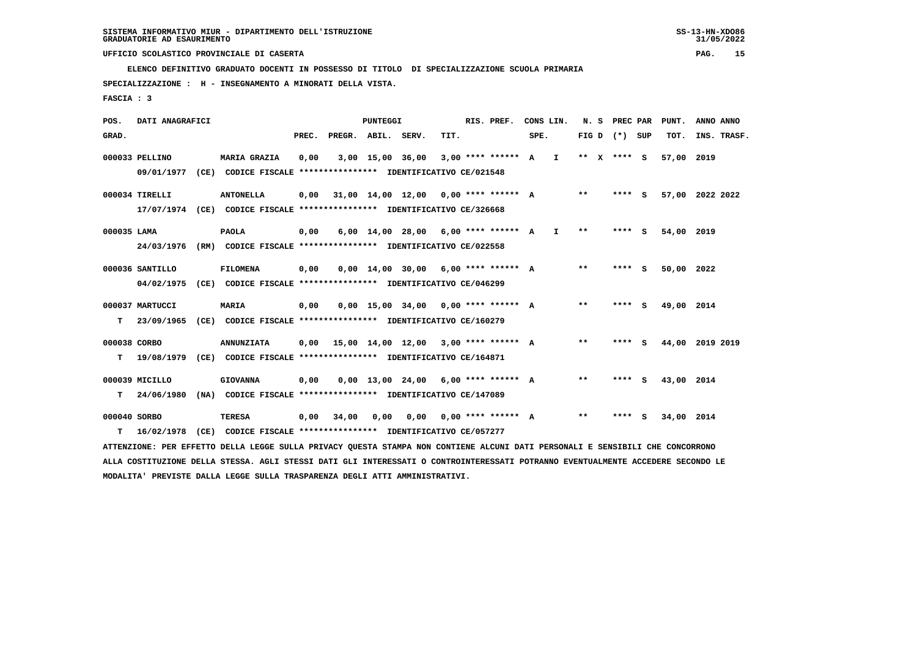**ELENCO DEFINITIVO GRADUATO DOCENTI IN POSSESSO DI TITOLO DI SPECIALIZZAZIONE SCUOLA PRIMARIA**

 **SPECIALIZZAZIONE : H - INSEGNAMENTO A MINORATI DELLA VISTA.**

 **FASCIA : 3**

| POS.         | DATI ANAGRAFICI |      |                                                                                                                               |       |                                      | <b>PUNTEGGI</b>  |                                       |      | RIS. PREF.                  |      | CONS LIN.    | N. S    | PREC PAR          |     | PUNT.      | ANNO ANNO       |
|--------------|-----------------|------|-------------------------------------------------------------------------------------------------------------------------------|-------|--------------------------------------|------------------|---------------------------------------|------|-----------------------------|------|--------------|---------|-------------------|-----|------------|-----------------|
| GRAD.        |                 |      |                                                                                                                               | PREC. | PREGR. ABIL. SERV.                   |                  |                                       | TIT. |                             | SPE. |              |         | FIG $D$ $(*)$ SUP |     | TOT.       | INS. TRASF.     |
|              | 000033 PELLINO  |      | <b>MARIA GRAZIA</b>                                                                                                           | 0,00  |                                      | 3,00 15,00 36,00 |                                       |      | $3,00$ **** ****** A        |      | $\mathbf{I}$ | $***$ X | **** S            |     | 57,00      | 2019            |
|              | 09/01/1977      |      | (CE) CODICE FISCALE **************** IDENTIFICATIVO CE/021548                                                                 |       |                                      |                  |                                       |      |                             |      |              |         |                   |     |            |                 |
|              | 000034 TIRELLI  |      | <b>ANTONELLA</b>                                                                                                              | 0,00  |                                      |                  | 31,00 14,00 12,00                     |      | $0.00$ **** ****** A        |      |              | $***$   | **** S            |     |            | 57,00 2022 2022 |
|              |                 |      | 17/07/1974 (CE) CODICE FISCALE *************** IDENTIFICATIVO CE/326668                                                       |       |                                      |                  |                                       |      |                             |      |              |         |                   |     |            |                 |
| 000035 LAMA  |                 |      | <b>PAOLA</b>                                                                                                                  | 0,00  |                                      |                  | 6,00 14,00 28,00                      |      | $6.00$ **** ****** A        |      | $\mathbf{I}$ | $* *$   | ****              | - 5 | 54,00 2019 |                 |
|              | 24/03/1976      |      | (RM) CODICE FISCALE **************** IDENTIFICATIVO CE/022558                                                                 |       |                                      |                  |                                       |      |                             |      |              |         |                   |     |            |                 |
|              | 000036 SANTILLO |      | <b>FILOMENA</b>                                                                                                               | 0,00  |                                      |                  | $0,00$ $14,00$ $30,00$                |      | $6.00$ **** ****** A        |      |              | $* *$   | **** S            |     | 50,00      | 2022            |
|              | 04/02/1975      |      | (CE) CODICE FISCALE **************** IDENTIFICATIVO CE/046299                                                                 |       |                                      |                  |                                       |      |                             |      |              |         |                   |     |            |                 |
|              | 000037 MARTUCCI |      | <b>MARIA</b>                                                                                                                  | 0,00  |                                      |                  | $0,00$ 15,00 34,00 0,00 **** ****** A |      |                             |      |              | $* *$   | **** S            |     | 49,00 2014 |                 |
| т            | 23/09/1965      |      | (CE) CODICE FISCALE **************** IDENTIFICATIVO CE/160279                                                                 |       |                                      |                  |                                       |      |                             |      |              |         |                   |     |            |                 |
| 000038 CORBO |                 |      | <b>ANNUNZIATA</b>                                                                                                             | 0.00  | 15,00 14,00 12,00 3,00 **** ****** A |                  |                                       |      |                             |      |              | $* *$   | **** S            |     |            | 44,00 2019 2019 |
| т            | 19/08/1979      |      | (CE) CODICE FISCALE **************** IDENTIFICATIVO CE/164871                                                                 |       |                                      |                  |                                       |      |                             |      |              |         |                   |     |            |                 |
|              | 000039 MICILLO  |      | <b>GIOVANNA</b>                                                                                                               | 0,00  |                                      |                  | $0,00$ 13,00 24,00 6,00 **** ****** A |      |                             |      |              | $***$   | **** S            |     | 43,00 2014 |                 |
| т            | 24/06/1980      |      | (NA) CODICE FISCALE **************** IDENTIFICATIVO CE/147089                                                                 |       |                                      |                  |                                       |      |                             |      |              |         |                   |     |            |                 |
| 000040 SORBO |                 |      | <b>TERESA</b>                                                                                                                 | 0,00  | 34,00                                | 0,00             |                                       |      | $0.00$ $0.00$ **** ****** A |      |              | $***$   | **** S            |     | 34,00 2014 |                 |
| т            | 16/02/1978      | (CE) | CODICE FISCALE **************** IDENTIFICATIVO CE/057277                                                                      |       |                                      |                  |                                       |      |                             |      |              |         |                   |     |            |                 |
|              |                 |      | ATTENZIONE: PER EFFETTO DELLA LEGGE SULLA PRIVACY QUESTA STAMPA NON CONTIENE ALCUNI DATI PERSONALI E SENSIBILI CHE CONCORRONO |       |                                      |                  |                                       |      |                             |      |              |         |                   |     |            |                 |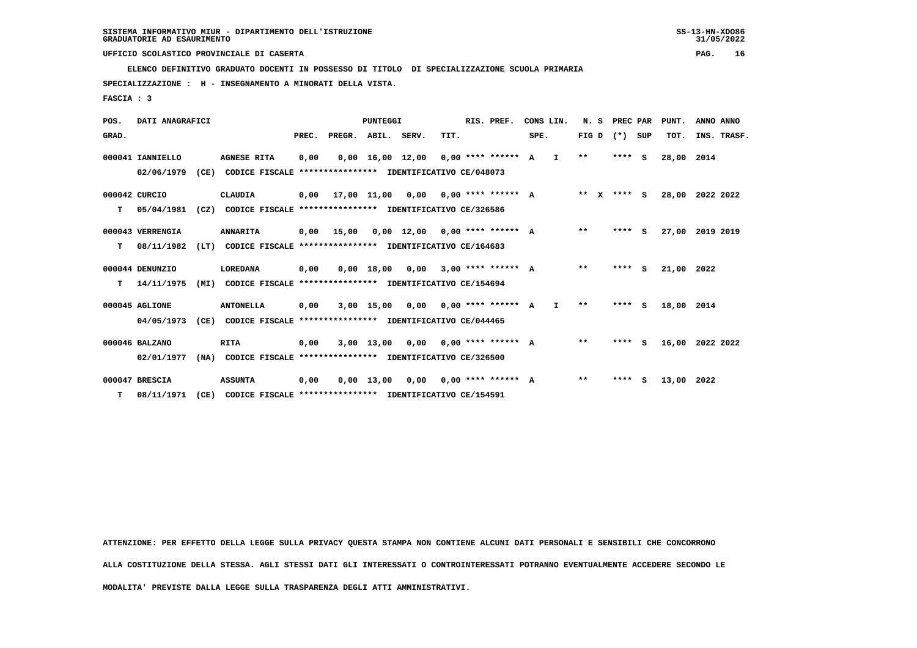**ELENCO DEFINITIVO GRADUATO DOCENTI IN POSSESSO DI TITOLO DI SPECIALIZZAZIONE SCUOLA PRIMARIA**

 **SPECIALIZZAZIONE : H - INSEGNAMENTO A MINORATI DELLA VISTA.**

 **FASCIA : 3**

| POS.  | DATI ANAGRAFICI  |      |                                                          |       |                    | PUNTEGGI     |                                       |      | RIS. PREF.                  |      | CONS LIN.    |              | N. S PREC PAR |          | PUNT.      | ANNO ANNO   |
|-------|------------------|------|----------------------------------------------------------|-------|--------------------|--------------|---------------------------------------|------|-----------------------------|------|--------------|--------------|---------------|----------|------------|-------------|
| GRAD. |                  |      |                                                          | PREC. | PREGR. ABIL. SERV. |              |                                       | TIT. |                             | SPE. |              | FIG D        | $(*)$         | SUP      | TOT.       | INS. TRASF. |
|       | 000041 IANNIELLO |      | <b>AGNESE RITA</b>                                       | 0,00  |                    |              | $0,00$ 16,00 12,00 0,00 **** ****** A |      |                             |      | $\mathbf{I}$ | $**$         | $***$ S       |          | 28,00      | 2014        |
|       | 02/06/1979       | (CE) | CODICE FISCALE **************** IDENTIFICATIVO CE/048073 |       |                    |              |                                       |      |                             |      |              |              |               |          |            |             |
|       | 000042 CURCIO    |      | CLAUDIA                                                  | 0,00  |                    | 17,00 11,00  |                                       |      | $0.00$ $0.00$ **** ****** A |      |              | $***$ X      | **** S        |          | 28,00      | 2022 2022   |
| т     | 05/04/1981       | (CZ) | CODICE FISCALE **************** IDENTIFICATIVO CE/326586 |       |                    |              |                                       |      |                             |      |              |              |               |          |            |             |
|       | 000043 VERRENGIA |      | <b>ANNARITA</b>                                          | 0,00  | 15,00              |              | $0.00$ 12.00 0.00 **** ****** A       |      |                             |      |              | $* *$        | **** S        |          | 27,00      | 2019 2019   |
| т     | 08/11/1982       | (LT) | CODICE FISCALE **************** IDENTIFICATIVO CE/164683 |       |                    |              |                                       |      |                             |      |              |              |               |          |            |             |
|       | 000044 DENUNZIO  |      | LOREDANA                                                 | 0,00  |                    | 0,00 18,00   | 0,00                                  |      | $3.00$ **** ****** A        |      |              | $**$         | ****          | <b>S</b> | 21,00 2022 |             |
| т     | 14/11/1975       | (MI) | CODICE FISCALE **************** IDENTIFICATIVO CE/154694 |       |                    |              |                                       |      |                             |      |              |              |               |          |            |             |
|       | 000045 AGLIONE   |      | <b>ANTONELLA</b>                                         | 0,00  |                    | 3,00 15,00   |                                       |      | $0.00$ $0.00$ **** ****** A |      | $\mathbf{I}$ | $\star\star$ | $***$ S       |          | 18,00      | 2014        |
|       | 04/05/1973       | (CE) | CODICE FISCALE **************** IDENTIFICATIVO CE/044465 |       |                    |              |                                       |      |                             |      |              |              |               |          |            |             |
|       | 000046 BALZANO   |      | RITA                                                     | 0,00  |                    |              | $3,00$ 13,00 0,00 0,00 **** ****** A  |      |                             |      |              | $* *$        | $***$ S       |          | 16,00      | 2022 2022   |
|       | 02/01/1977       | (NA) | CODICE FISCALE **************** IDENTIFICATIVO CE/326500 |       |                    |              |                                       |      |                             |      |              |              |               |          |            |             |
|       | 000047 BRESCIA   |      | <b>ASSUNTA</b>                                           | 0,00  |                    | $0,00$ 13,00 | 0,00                                  |      | $0,00$ **** ****** A        |      |              | $\star\star$ | ****          | s        | 13,00      | 2022        |
| т     | 08/11/1971       | (CE) | CODICE FISCALE **************** IDENTIFICATIVO CE/154591 |       |                    |              |                                       |      |                             |      |              |              |               |          |            |             |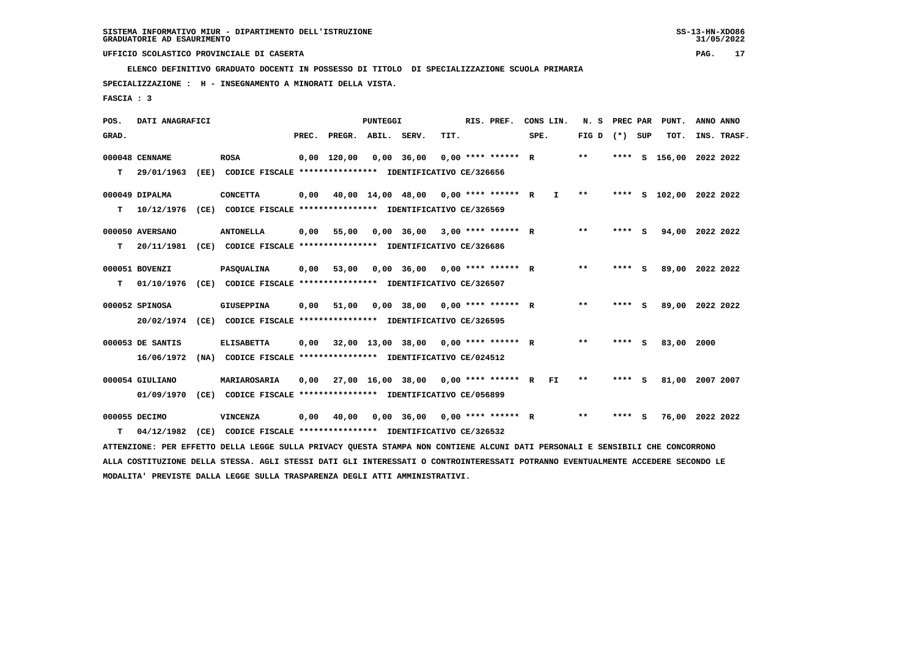**ELENCO DEFINITIVO GRADUATO DOCENTI IN POSSESSO DI TITOLO DI SPECIALIZZAZIONE SCUOLA PRIMARIA**

 **SPECIALIZZAZIONE : H - INSEGNAMENTO A MINORATI DELLA VISTA.**

 **FASCIA : 3**

| POS.  | DATI ANAGRAFICI  |      |                                                                                                                                 |       |                    | <b>PUNTEGGI</b>   |                                      |      | RIS. PREF.           | CONS LIN. |              | N. S  | PREC PAR |     | PUNT.              | ANNO ANNO |             |
|-------|------------------|------|---------------------------------------------------------------------------------------------------------------------------------|-------|--------------------|-------------------|--------------------------------------|------|----------------------|-----------|--------------|-------|----------|-----|--------------------|-----------|-------------|
| GRAD. |                  |      |                                                                                                                                 | PREC. | PREGR. ABIL. SERV. |                   |                                      | TIT. |                      | SPE.      |              | FIG D | (*) SUP  |     | TOT.               |           | INS. TRASF. |
|       | 000048 CENNAME   |      | <b>ROSA</b>                                                                                                                     |       | $0,00$ 120,00      |                   | $0,00$ 36,00                         |      | $0.00$ **** ****** R |           |              | $***$ | ****     | - S | 156,00             | 2022 2022 |             |
| т     | 29/01/1963       | (EE) | CODICE FISCALE **************** IDENTIFICATIVO CE/326656                                                                        |       |                    |                   |                                      |      |                      |           |              |       |          |     |                    |           |             |
|       | 000049 DIPALMA   |      | <b>CONCETTA</b>                                                                                                                 | 0,00  |                    | 40,00 14,00 48,00 |                                      |      | $0.00$ **** ****** R |           | $\mathbf{I}$ | $* *$ | ****     |     | S 102,00 2022 2022 |           |             |
| т     | 10/12/1976       | (CE) | CODICE FISCALE **************** IDENTIFICATIVO CE/326569                                                                        |       |                    |                   |                                      |      |                      |           |              |       |          |     |                    |           |             |
|       | 000050 AVERSANO  |      | <b>ANTONELLA</b>                                                                                                                | 0,00  | 55,00              |                   | $0,00$ 36,00                         |      | 3,00 **** ****** R   |           |              | $* *$ | **** S   |     | 94,00              | 2022 2022 |             |
| т     | 20/11/1981       | (CE) | CODICE FISCALE **************** IDENTIFICATIVO CE/326686                                                                        |       |                    |                   |                                      |      |                      |           |              |       |          |     |                    |           |             |
|       | 000051 BOVENZI   |      | PASQUALINA                                                                                                                      | 0,00  | 53,00              |                   | 0,00 36,00                           |      | $0.00$ **** ****** R |           |              | **    | **** S   |     | 89,00 2022 2022    |           |             |
| т     | 01/10/1976       |      | (CE) CODICE FISCALE **************** IDENTIFICATIVO CE/326507                                                                   |       |                    |                   |                                      |      |                      |           |              |       |          |     |                    |           |             |
|       | 000052 SPINOSA   |      | <b>GIUSEPPINA</b>                                                                                                               | 0,00  | 51,00              |                   | $0,00$ 38,00                         |      | 0,00 **** ****** R   |           |              | **    | **** S   |     | 89,00 2022 2022    |           |             |
|       | 20/02/1974       |      | (CE) CODICE FISCALE **************** IDENTIFICATIVO CE/326595                                                                   |       |                    |                   |                                      |      |                      |           |              |       |          |     |                    |           |             |
|       | 000053 DE SANTIS |      | <b>ELISABETTA</b>                                                                                                               | 0,00  |                    |                   | 32,00 13,00 38,00 0,00 **** ****** R |      |                      |           |              | $* *$ | **** S   |     | 83,00 2000         |           |             |
|       | 16/06/1972       |      | (NA) CODICE FISCALE **************** IDENTIFICATIVO CE/024512                                                                   |       |                    |                   |                                      |      |                      |           |              |       |          |     |                    |           |             |
|       | 000054 GIULIANO  |      | MARIAROSARIA                                                                                                                    | 0,00  |                    |                   | 27,00 16,00 38,00 0,00 **** ****** R |      |                      |           | FI.          | $* *$ | ****     | - S | 81,00              | 2007 2007 |             |
|       | 01/09/1970       |      | (CE) CODICE FISCALE **************** IDENTIFICATIVO CE/056899                                                                   |       |                    |                   |                                      |      |                      |           |              |       |          |     |                    |           |             |
|       | 000055 DECIMO    |      | VINCENZA                                                                                                                        | 0,00  | 40,00              |                   | $0.00$ 36.00                         |      | $0.00$ **** ****** R |           |              | $***$ | **** S   |     | 76,00 2022 2022    |           |             |
| т     | 04/12/1982       | (CE) | CODICE FISCALE **************** IDENTIFICATIVO CE/326532                                                                        |       |                    |                   |                                      |      |                      |           |              |       |          |     |                    |           |             |
|       |                  |      | ATTENZIONE: PER EFFETTO DELLA LEGGE SULLA PRIVACY QUESTA STAMPA NON CONTIENE ALCUNI DATI PERSONALI E SENSIBILI CHE CONCORRONO   |       |                    |                   |                                      |      |                      |           |              |       |          |     |                    |           |             |
|       |                  |      | ALLA COSTITUZIONE DELLA STESSA. AGLI STESSI DATI GLI INTERESSATI O CONTROINTERESSATI POTRANNO EVENTUALMENTE ACCEDERE SECONDO LE |       |                    |                   |                                      |      |                      |           |              |       |          |     |                    |           |             |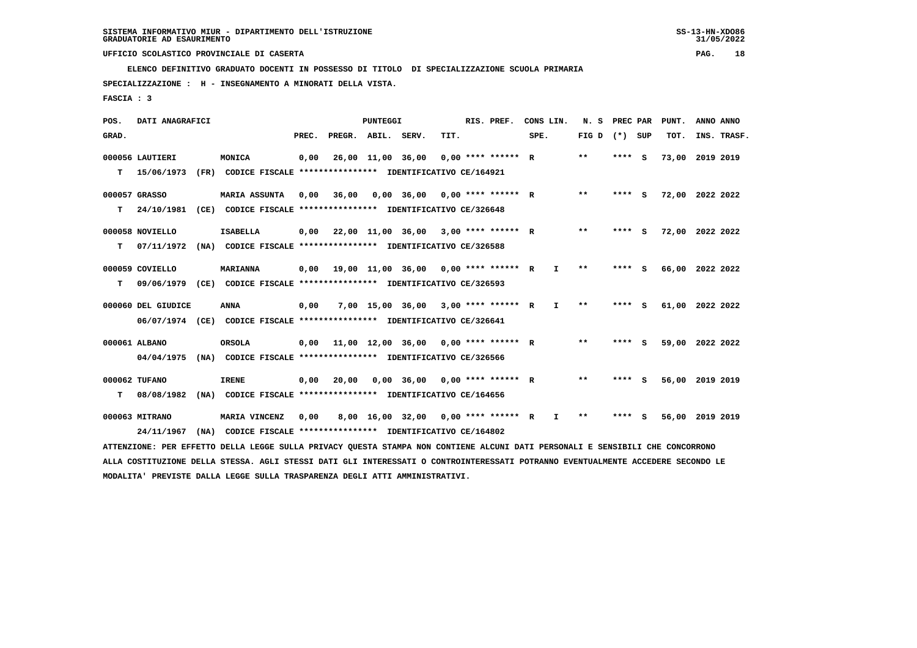**ELENCO DEFINITIVO GRADUATO DOCENTI IN POSSESSO DI TITOLO DI SPECIALIZZAZIONE SCUOLA PRIMARIA**

 **SPECIALIZZAZIONE : H - INSEGNAMENTO A MINORATI DELLA VISTA.**

 **FASCIA : 3**

| POS.  | DATI ANAGRAFICI    |      |                                                                                                                                 |       |                    | <b>PUNTEGGI</b>   |                                                   |                      | RIS. PREF.           | CONS LIN. |              | N. S              | PREC PAR |     | PUNT.           | ANNO ANNO |             |
|-------|--------------------|------|---------------------------------------------------------------------------------------------------------------------------------|-------|--------------------|-------------------|---------------------------------------------------|----------------------|----------------------|-----------|--------------|-------------------|----------|-----|-----------------|-----------|-------------|
| GRAD. |                    |      |                                                                                                                                 | PREC. | PREGR. ABIL. SERV. |                   |                                                   | TIT.                 |                      | SPE.      |              | FIG $D$ $(*)$ SUP |          |     | TOT.            |           | INS. TRASF. |
|       | 000056 LAUTIERI    |      | MONICA                                                                                                                          | 0,00  |                    | 26,00 11,00 36,00 |                                                   |                      | $0.00$ **** ****** R |           |              | $* *$             | ****     | - S | 73,00           | 2019 2019 |             |
| т     | 15/06/1973         | (FR) | CODICE FISCALE **************** IDENTIFICATIVO CE/164921                                                                        |       |                    |                   |                                                   |                      |                      |           |              |                   |          |     |                 |           |             |
|       | 000057 GRASSO      |      | <b>MARIA ASSUNTA</b>                                                                                                            | 0,00  | 36,00              |                   | 0,00 36,00                                        | $0.00$ **** ****** R |                      |           |              | $* *$             | ****     | - S | 72,00 2022 2022 |           |             |
| т     | 24/10/1981         |      | (CE) CODICE FISCALE **************** IDENTIFICATIVO CE/326648                                                                   |       |                    |                   |                                                   |                      |                      |           |              |                   |          |     |                 |           |             |
|       | 000058 NOVIELLO    |      | <b>ISABELLA</b>                                                                                                                 | 0,00  |                    |                   | 22,00 11,00 36,00 3,00 **** ****** R              |                      |                      |           |              | $* *$             | **** S   |     | 72,00 2022 2022 |           |             |
| т     | 07/11/1972         |      | (NA) CODICE FISCALE *************** IDENTIFICATIVO CE/326588                                                                    |       |                    |                   |                                                   |                      |                      |           |              |                   |          |     |                 |           |             |
|       | 000059 COVIELLO    |      | <b>MARIANNA</b>                                                                                                                 | 0,00  |                    |                   | $19.00$ $11.00$ $36.00$ $0.00$ $***$ **** *****   |                      |                      |           | $\mathbf{I}$ | $* *$             | **** S   |     | 66,00 2022 2022 |           |             |
| т     | 09/06/1979         |      | (CE) CODICE FISCALE **************** IDENTIFICATIVO CE/326593                                                                   |       |                    |                   |                                                   |                      |                      |           |              |                   |          |     |                 |           |             |
|       | 000060 DEL GIUDICE |      | <b>ANNA</b>                                                                                                                     | 0,00  |                    |                   | 7,00 15,00 36,00 3,00 **** ****** R               |                      |                      |           | I.           | $* *$             | **** S   |     | 61,00 2022 2022 |           |             |
|       | 06/07/1974         |      | (CE) CODICE FISCALE **************** IDENTIFICATIVO CE/326641                                                                   |       |                    |                   |                                                   |                      |                      |           |              |                   |          |     |                 |           |             |
|       | 000061 ALBANO      |      | <b>ORSOLA</b>                                                                                                                   | 0,00  |                    |                   | $11.00$ $12.00$ $36.00$ $0.00$ $***$ **** ***** R |                      |                      |           |              | $**$              | ****     | - S | 59,00 2022 2022 |           |             |
|       | 04/04/1975         |      | (NA) CODICE FISCALE **************** IDENTIFICATIVO CE/326566                                                                   |       |                    |                   |                                                   |                      |                      |           |              |                   |          |     |                 |           |             |
|       | 000062 TUFANO      |      | <b>IRENE</b>                                                                                                                    | 0,00  | 20,00              |                   | $0,00$ 36,00 0,00 **** ****** R                   |                      |                      |           |              | $***$             | **** S   |     | 56,00           | 2019 2019 |             |
| т     | 08/08/1982         |      | (NA) CODICE FISCALE **************** IDENTIFICATIVO CE/164656                                                                   |       |                    |                   |                                                   |                      |                      |           |              |                   |          |     |                 |           |             |
|       | 000063 MITRANO     |      | MARIA VINCENZ                                                                                                                   | 0,00  |                    |                   | 8,00 16,00 32,00 0,00 **** ****** R               |                      |                      |           | I.           | **                | ****     | - S | 56,00 2019 2019 |           |             |
|       | 24/11/1967         |      | (NA) CODICE FISCALE **************** IDENTIFICATIVO CE/164802                                                                   |       |                    |                   |                                                   |                      |                      |           |              |                   |          |     |                 |           |             |
|       |                    |      | ATTENZIONE: PER EFFETTO DELLA LEGGE SULLA PRIVACY QUESTA STAMPA NON CONTIENE ALCUNI DATI PERSONALI E SENSIBILI CHE CONCORRONO   |       |                    |                   |                                                   |                      |                      |           |              |                   |          |     |                 |           |             |
|       |                    |      | ALLA COSTITUZIONE DELLA STESSA. AGLI STESSI DATI GLI INTERESSATI O CONTROINTERESSATI POTRANNO EVENTUALMENTE ACCEDERE SECONDO LE |       |                    |                   |                                                   |                      |                      |           |              |                   |          |     |                 |           |             |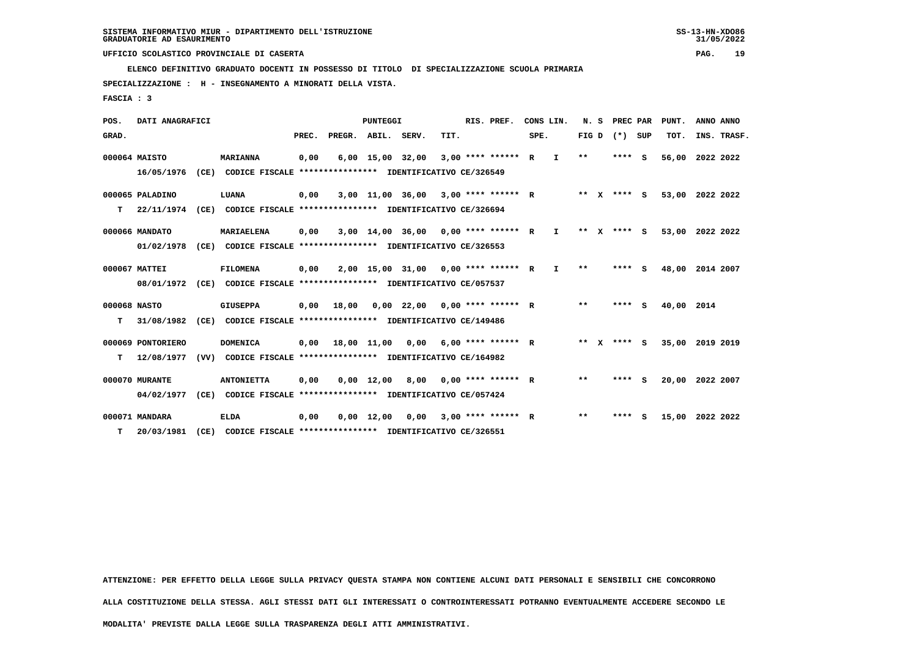**ELENCO DEFINITIVO GRADUATO DOCENTI IN POSSESSO DI TITOLO DI SPECIALIZZAZIONE SCUOLA PRIMARIA**

 **SPECIALIZZAZIONE : H - INSEGNAMENTO A MINORATI DELLA VISTA.**

 **FASCIA : 3**

| POS.         | DATI ANAGRAFICI   |      |                                                               |       |              | <b>PUNTEGGI</b>    |                  |      | RIS. PREF.           |      | CONS LIN.    | N.S     |              | PREC PAR |     | PUNT.           | ANNO ANNO |             |
|--------------|-------------------|------|---------------------------------------------------------------|-------|--------------|--------------------|------------------|------|----------------------|------|--------------|---------|--------------|----------|-----|-----------------|-----------|-------------|
| GRAD.        |                   |      |                                                               | PREC. | PREGR. ABIL. |                    | SERV.            | TIT. |                      | SPE. |              | FIG D   |              | $(*)$    | SUP | TOT.            |           | INS. TRASF. |
|              | 000064 MAISTO     |      | <b>MARIANNA</b>                                               | 0,00  |              | $6,00$ 15,00 32,00 |                  |      | 3,00 **** ****** R   |      | I.           | $* *$   |              | $***$ S  |     | 56,00           | 2022 2022 |             |
|              | 16/05/1976        |      | (CE) CODICE FISCALE **************** IDENTIFICATIVO CE/326549 |       |              |                    |                  |      |                      |      |              |         |              |          |     |                 |           |             |
|              | 000065 PALADINO   |      | LUANA                                                         | 0,00  |              |                    | 3,00 11,00 36,00 |      | $3.00$ **** ****** R |      |              | $***$ X |              | **** S   |     | 53,00 2022 2022 |           |             |
| т            | 22/11/1974        |      | (CE) CODICE FISCALE **************** IDENTIFICATIVO CE/326694 |       |              |                    |                  |      |                      |      |              |         |              |          |     |                 |           |             |
|              | 000066 MANDATO    |      | MARIAELENA                                                    | 0,00  |              | 3,00 14,00 36,00   |                  |      | $0.00$ **** ****** R |      | $\mathbf{I}$ | $* *$   | $\mathbf{x}$ | **** S   |     | 53,00           | 2022 2022 |             |
|              | 01/02/1978        | (CE) | CODICE FISCALE **************** IDENTIFICATIVO CE/326553      |       |              |                    |                  |      |                      |      |              |         |              |          |     |                 |           |             |
|              | 000067 MATTEI     |      | <b>FILOMENA</b>                                               | 0,00  |              |                    | 2,00 15,00 31,00 |      | $0.00$ **** ****** R |      | I.           | $**$    |              | ****     | - S | 48,00           | 2014 2007 |             |
|              | 08/01/1972        |      | (CE) CODICE FISCALE **************** IDENTIFICATIVO CE/057537 |       |              |                    |                  |      |                      |      |              |         |              |          |     |                 |           |             |
| 000068 NASTO |                   |      | <b>GIUSEPPA</b>                                               | 0.00  | 18,00        |                    | 0,00 22,00       |      | $0.00$ **** ****** R |      |              | $**$    |              | **** S   |     | 40,00 2014      |           |             |
| т            | 31/08/1982        | (CE) | CODICE FISCALE **************** IDENTIFICATIVO CE/149486      |       |              |                    |                  |      |                      |      |              |         |              |          |     |                 |           |             |
|              | 000069 PONTORIERO |      | <b>DOMENICA</b>                                               | 0,00  |              | 18,00 11,00        | 0,00             |      | $6.00*********$ R    |      |              | $***$ X |              | $***$ S  |     | 35,00           | 2019 2019 |             |
| т            | 12/08/1977        | (VV) | CODICE FISCALE **************** IDENTIFICATIVO CE/164982      |       |              |                    |                  |      |                      |      |              |         |              |          |     |                 |           |             |
|              | 000070 MURANTE    |      | <b>ANTONIETTA</b>                                             | 0,00  |              | $0,00 \quad 12,00$ | 8,00             |      | $0.00$ **** ****** R |      |              | $**$    |              | **** S   |     | 20,00           | 2022 2007 |             |
|              | 04/02/1977        | (CE) | CODICE FISCALE **************** IDENTIFICATIVO CE/057424      |       |              |                    |                  |      |                      |      |              |         |              |          |     |                 |           |             |
|              | 000071 MANDARA    |      | <b>ELDA</b>                                                   | 0,00  |              | $0,00 \quad 12,00$ | 0.00             |      | $3.00$ **** ****** R |      |              | $* *$   |              | ****     | s   | 15,00           | 2022 2022 |             |
| т            | 20/03/1981        | (CE) | CODICE FISCALE **************** IDENTIFICATIVO CE/326551      |       |              |                    |                  |      |                      |      |              |         |              |          |     |                 |           |             |

 **ATTENZIONE: PER EFFETTO DELLA LEGGE SULLA PRIVACY QUESTA STAMPA NON CONTIENE ALCUNI DATI PERSONALI E SENSIBILI CHE CONCORRONO**

 **ALLA COSTITUZIONE DELLA STESSA. AGLI STESSI DATI GLI INTERESSATI O CONTROINTERESSATI POTRANNO EVENTUALMENTE ACCEDERE SECONDO LE**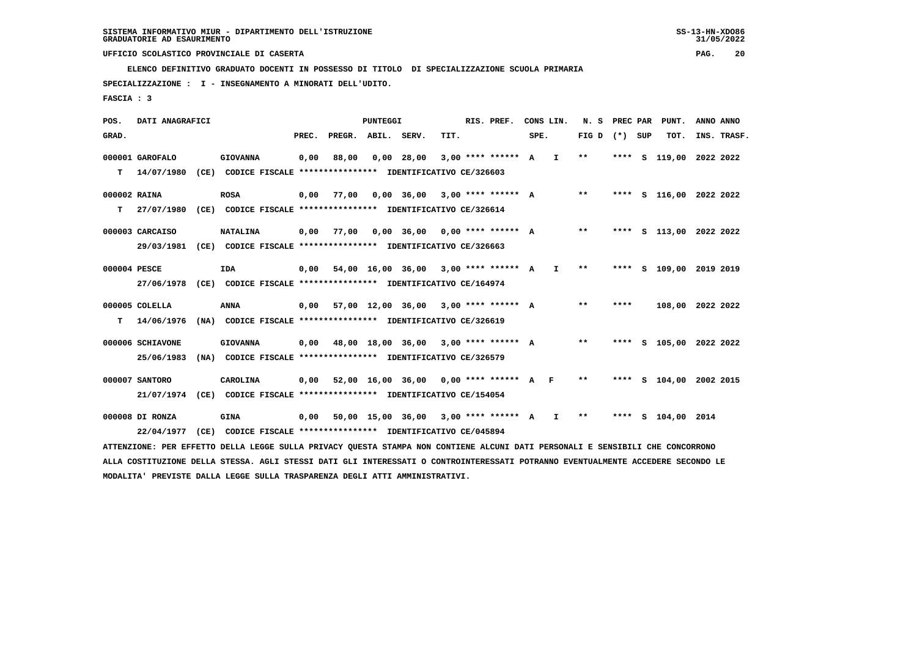**ELENCO DEFINITIVO GRADUATO DOCENTI IN POSSESSO DI TITOLO DI SPECIALIZZAZIONE SCUOLA PRIMARIA**

 **SPECIALIZZAZIONE : I - INSEGNAMENTO A MINORATI DELL'UDITO.**

 **FASCIA : 3**

| POS.         | DATI ANAGRAFICI  |                                                                                                                                 |       |        | <b>PUNTEGGI</b> |                   |      | RIS. PREF.             |      | CONS LIN.    | N. S  | PREC PAR | PUNT.                   | ANNO ANNO |             |
|--------------|------------------|---------------------------------------------------------------------------------------------------------------------------------|-------|--------|-----------------|-------------------|------|------------------------|------|--------------|-------|----------|-------------------------|-----------|-------------|
| GRAD.        |                  |                                                                                                                                 | PREC. | PREGR. | ABIL.           | SERV.             | TIT. |                        | SPE. |              | FIG D | (*) SUP  | TOT.                    |           | INS. TRASF. |
|              | 000001 GAROFALO  | <b>GIOVANNA</b>                                                                                                                 | 0,00  | 88,00  |                 | $0,00$ 28,00      |      | $3.00$ **** ****** A   |      | I.           | $* *$ | $***$ S  | 119,00 2022 2022        |           |             |
| т            | 14/07/1980       | (CE) CODICE FISCALE **************** IDENTIFICATIVO CE/326603                                                                   |       |        |                 |                   |      |                        |      |              |       |          |                         |           |             |
| 000002 RAINA |                  | <b>ROSA</b>                                                                                                                     | 0,00  | 77,00  |                 | 0,00 36,00        |      | $3,00$ **** ****** A   |      |              | $* *$ |          | **** S 116,00 2022 2022 |           |             |
| т            | 27/07/1980       | (CE) CODICE FISCALE **************** IDENTIFICATIVO CE/326614                                                                   |       |        |                 |                   |      |                        |      |              |       |          |                         |           |             |
|              | 000003 CARCAISO  | <b>NATALINA</b>                                                                                                                 | 0,00  | 77,00  |                 | 0,00 36,00        |      | $0.00$ **** ****** A   |      |              | $***$ | ****     | s 113,00 2022 2022      |           |             |
|              | 29/03/1981       | (CE) CODICE FISCALE **************** IDENTIFICATIVO CE/326663                                                                   |       |        |                 |                   |      |                        |      |              |       |          |                         |           |             |
| 000004 PESCE |                  | <b>IDA</b>                                                                                                                      | 0,00  |        |                 | 54,00 16,00 36,00 |      | $3.00$ **** ****** A   |      | $\mathbf{I}$ | **    | ****     | S 109,00 2019 2019      |           |             |
|              | 27/06/1978       | (CE) CODICE FISCALE **************** IDENTIFICATIVO CE/164974                                                                   |       |        |                 |                   |      |                        |      |              |       |          |                         |           |             |
|              | 000005 COLELLA   | <b>ANNA</b>                                                                                                                     | 0,00  |        |                 | 57,00 12,00 36,00 |      | $3.00$ **** ****** A   |      |              | $* *$ | ****     | 108,00 2022 2022        |           |             |
| т            | 14/06/1976       | (NA) CODICE FISCALE **************** IDENTIFICATIVO CE/326619                                                                   |       |        |                 |                   |      |                        |      |              |       |          |                         |           |             |
|              | 000006 SCHIAVONE | <b>GIOVANNA</b>                                                                                                                 | 0,00  |        |                 | 48,00 18,00 36,00 |      | $3,00$ **** ****** A   |      |              | $***$ |          | **** S 105,00 2022 2022 |           |             |
|              | 25/06/1983       | (NA) CODICE FISCALE **************** IDENTIFICATIVO CE/326579                                                                   |       |        |                 |                   |      |                        |      |              |       |          |                         |           |             |
|              | 000007 SANTORO   | CAROLINA                                                                                                                        | 0,00  |        |                 | 52,00 16,00 36,00 |      | $0.00$ **** ****** A F |      |              | $***$ |          | **** S 104,00 2002 2015 |           |             |
|              | 21/07/1974       | (CE) CODICE FISCALE **************** IDENTIFICATIVO CE/154054                                                                   |       |        |                 |                   |      |                        |      |              |       |          |                         |           |             |
|              | 000008 DI RONZA  | <b>GINA</b>                                                                                                                     | 0,00  |        |                 | 50,00 15,00 36,00 |      | $3.00$ **** ****** A   |      | I.           | $* *$ |          | **** S 104,00 2014      |           |             |
|              | 22/04/1977       | (CE) CODICE FISCALE **************** IDENTIFICATIVO CE/045894                                                                   |       |        |                 |                   |      |                        |      |              |       |          |                         |           |             |
|              |                  | ATTENZIONE: PER EFFETTO DELLA LEGGE SULLA PRIVACY QUESTA STAMPA NON CONTIENE ALCUNI DATI PERSONALI E SENSIBILI CHE CONCORRONO   |       |        |                 |                   |      |                        |      |              |       |          |                         |           |             |
|              |                  | ALLA COSTITUZIONE DELLA STESSA. AGLI STESSI DATI GLI INTERESSATI O CONTROINTERESSATI POTRANNO EVENTUALMENTE ACCEDERE SECONDO LE |       |        |                 |                   |      |                        |      |              |       |          |                         |           |             |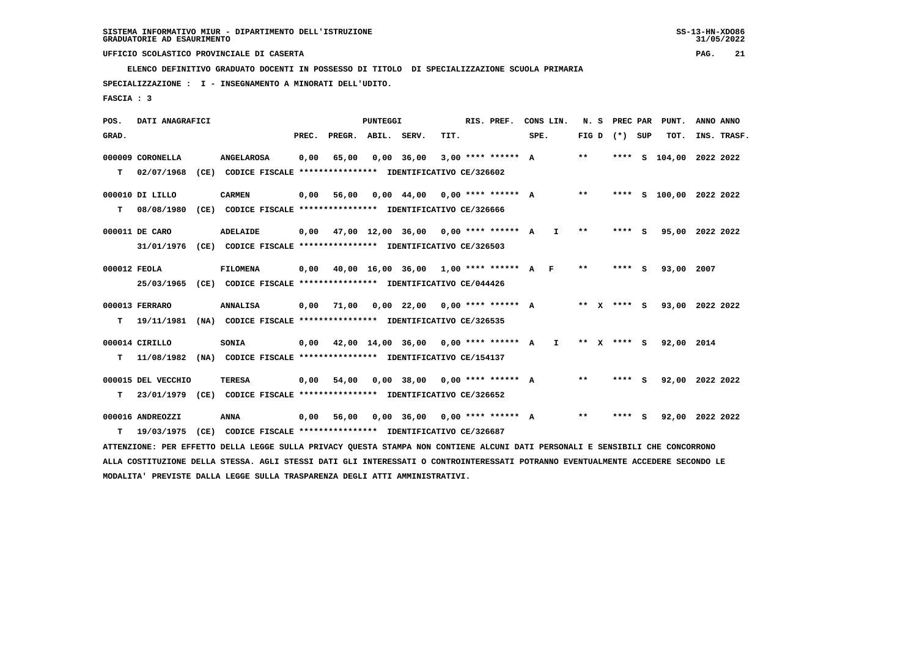**ELENCO DEFINITIVO GRADUATO DOCENTI IN POSSESSO DI TITOLO DI SPECIALIZZAZIONE SCUOLA PRIMARIA**

 **SPECIALIZZAZIONE : I - INSEGNAMENTO A MINORATI DELL'UDITO.**

 **FASCIA : 3**

 **POS. DATI ANAGRAFICI PUNTEGGI RIS. PREF. CONS LIN. N. S PREC PAR PUNT. ANNO ANNO**GRAD. **PREGRADE SERVEGE SERVE SERVE SPEREGE SPEREGALES SPEREGALES SPEREGALES SPEREGALES SPEREGALES SUP TOT. INS. TRASF. 000009 CORONELLA ANGELAROSA 0,00 65,00 0,00 36,00 3,00 \*\*\*\* \*\*\*\*\*\* A \*\* \*\*\*\* S 104,00 2022 2022 T 02/07/1968 (CE) CODICE FISCALE \*\*\*\*\*\*\*\*\*\*\*\*\*\*\*\* IDENTIFICATIVO CE/326602 000010 DI LILLO CARMEN 0,00 56,00 0,00 44,00 0,00 \*\*\*\* \*\*\*\*\*\* A \*\* \*\*\*\* S 100,00 2022 2022 T 08/08/1980 (CE) CODICE FISCALE \*\*\*\*\*\*\*\*\*\*\*\*\*\*\*\* IDENTIFICATIVO CE/326666 000011 DE CARO ADELAIDE 0,00 47,00 12,00 36,00 0,00 \*\*\*\* \*\*\*\*\*\* A I \*\* \*\*\*\* S 95,00 2022 2022 31/01/1976 (CE) CODICE FISCALE \*\*\*\*\*\*\*\*\*\*\*\*\*\*\*\* IDENTIFICATIVO CE/326503 000012 FEOLA FILOMENA 0,00 40,00 16,00 36,00 1,00 \*\*\*\* \*\*\*\*\*\* A F \*\* \*\*\*\* S 93,00 2007 25/03/1965 (CE) CODICE FISCALE \*\*\*\*\*\*\*\*\*\*\*\*\*\*\*\* IDENTIFICATIVO CE/044426 000013 FERRARO ANNALISA 0,00 71,00 0,00 22,00 0,00 \*\*\*\* \*\*\*\*\*\* A \*\* X \*\*\*\* S 93,00 2022 2022 T 19/11/1981 (NA) CODICE FISCALE \*\*\*\*\*\*\*\*\*\*\*\*\*\*\*\* IDENTIFICATIVO CE/326535 000014 CIRILLO SONIA 0,00 42,00 14,00 36,00 0,00 \*\*\*\* \*\*\*\*\*\* A I \*\* X \*\*\*\* S 92,00 2014 T 11/08/1982 (NA) CODICE FISCALE \*\*\*\*\*\*\*\*\*\*\*\*\*\*\*\* IDENTIFICATIVO CE/154137 000015 DEL VECCHIO TERESA 0,00 54,00 0,00 38,00 0,00 \*\*\*\* \*\*\*\*\*\* A \*\* \*\*\*\* S 92,00 2022 2022 T 23/01/1979 (CE) CODICE FISCALE \*\*\*\*\*\*\*\*\*\*\*\*\*\*\*\* IDENTIFICATIVO CE/326652 000016 ANDREOZZI ANNA 0,00 56,00 0,00 36,00 0,00 \*\*\*\* \*\*\*\*\*\* A \*\* \*\*\*\* S 92,00 2022 2022 T 19/03/1975 (CE) CODICE FISCALE \*\*\*\*\*\*\*\*\*\*\*\*\*\*\*\* IDENTIFICATIVO CE/326687 ATTENZIONE: PER EFFETTO DELLA LEGGE SULLA PRIVACY QUESTA STAMPA NON CONTIENE ALCUNI DATI PERSONALI E SENSIBILI CHE CONCORRONO ALLA COSTITUZIONE DELLA STESSA. AGLI STESSI DATI GLI INTERESSATI O CONTROINTERESSATI POTRANNO EVENTUALMENTE ACCEDERE SECONDO LE MODALITA' PREVISTE DALLA LEGGE SULLA TRASPARENZA DEGLI ATTI AMMINISTRATIVI.**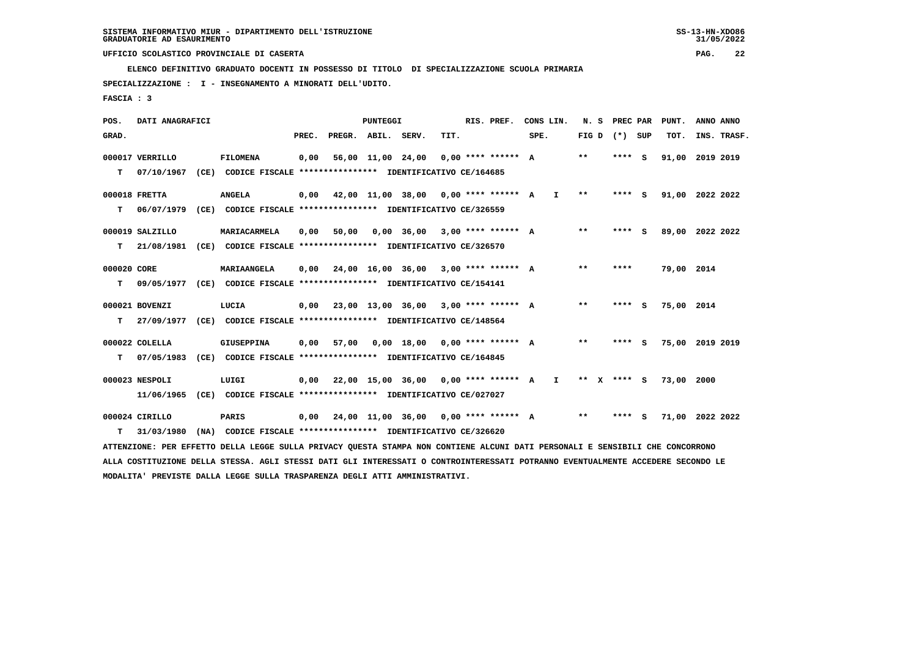**ELENCO DEFINITIVO GRADUATO DOCENTI IN POSSESSO DI TITOLO DI SPECIALIZZAZIONE SCUOLA PRIMARIA**

 **SPECIALIZZAZIONE : I - INSEGNAMENTO A MINORATI DELL'UDITO.**

 **FASCIA : 3**

| <b>PUNTEGGI</b><br>DATI ANAGRAFICI<br>RIS. PREF.<br>CONS LIN.<br>N. S PREC PAR<br>PUNT.<br>POS.                                 | ANNO ANNO   |
|---------------------------------------------------------------------------------------------------------------------------------|-------------|
| FIG D $(*)$ SUP<br>GRAD.<br>PREC.<br>PREGR. ABIL. SERV.<br>TIT.<br>SPE.<br>TOT.                                                 | INS. TRASF. |
|                                                                                                                                 |             |
| $* *$<br>000017 VERRILLO<br><b>FILOMENA</b><br>0,00<br>56,00 11,00 24,00<br>$0.00$ **** ****** A<br>**** S<br>91,00             | 2019 2019   |
| 07/10/1967<br>(CE) CODICE FISCALE **************** IDENTIFICATIVO CE/164685<br>т                                                |             |
| 000018 FRETTA<br><b>ANGELA</b><br>42,00 11,00 38,00 0,00 **** ****** A<br>$* *$<br>91,00 2022 2022<br>0,00<br>I.<br>**** S      |             |
|                                                                                                                                 |             |
| т<br>06/07/1979<br>(CE) CODICE FISCALE **************** IDENTIFICATIVO CE/326559                                                |             |
| $***$<br>000019 SALZILLO<br>MARIACARMELA<br>0,00<br>50,00<br>$0.00$ 36.00 3.00 **** ****** A<br>**** S<br>89,00 2022 2022       |             |
| T.<br>21/08/1981 (CE) CODICE FISCALE **************** IDENTIFICATIVO CE/326570                                                  |             |
|                                                                                                                                 |             |
| 24,00 16,00 36,00 3,00 **** ****** A<br>**<br>000020 CORE<br>MARIAANGELA<br>0,00<br>79,00 2014<br>****                          |             |
| 09/05/1977 (CE) CODICE FISCALE **************** IDENTIFICATIVO CE/154141<br>т                                                   |             |
|                                                                                                                                 |             |
| 23,00 13,00 36,00 3,00 **** ****** A<br>$***$<br>000021 BOVENZI<br>LUCIA<br>0,00<br>$***$ S<br>75,00 2014                       |             |
| 27/09/1977 (CE) CODICE FISCALE **************** IDENTIFICATIVO CE/148564<br>т                                                   |             |
|                                                                                                                                 |             |
| 000022 COLELLA<br>GIUSEPPINA<br>57,00<br>$0,00$ 18,00 0,00 **** ****** A<br>$***$<br>75,00 2019 2019<br>0,00<br>**** S          |             |
| т<br>07/05/1983<br>(CE) CODICE FISCALE **************** IDENTIFICATIVO CE/164845                                                |             |
| 000023 NESPOLI<br>LUIGI<br>$0,00$ 22,00 15,00 36,00 0,00 **** ****** A<br>$***$ S<br>73,00 2000<br>Ι.<br>** X                   |             |
| (CE) CODICE FISCALE *************** IDENTIFICATIVO CE/027027<br>11/06/1965                                                      |             |
|                                                                                                                                 |             |
| 000024 CIRILLO<br>PARIS<br>0,00 24,00 11,00 36,00 0,00 **** ****** A<br>$***$<br>**** S<br>71,00 2022 2022                      |             |
| (NA) CODICE FISCALE **************** IDENTIFICATIVO CE/326620<br>т<br>31/03/1980                                                |             |
| ATTENZIONE: PER EFFETTO DELLA LEGGE SULLA PRIVACY QUESTA STAMPA NON CONTIENE ALCUNI DATI PERSONALI E SENSIBILI CHE CONCORRONO   |             |
| ALLA COSTITUZIONE DELLA STESSA. AGLI STESSI DATI GLI INTERESSATI O CONTROINTERESSATI POTRANNO EVENTUALMENTE ACCEDERE SECONDO LE |             |
| MODALITA' PREVISTE DALLA LEGGE SULLA TRASPARENZA DEGLI ATTI AMMINISTRATIVI.                                                     |             |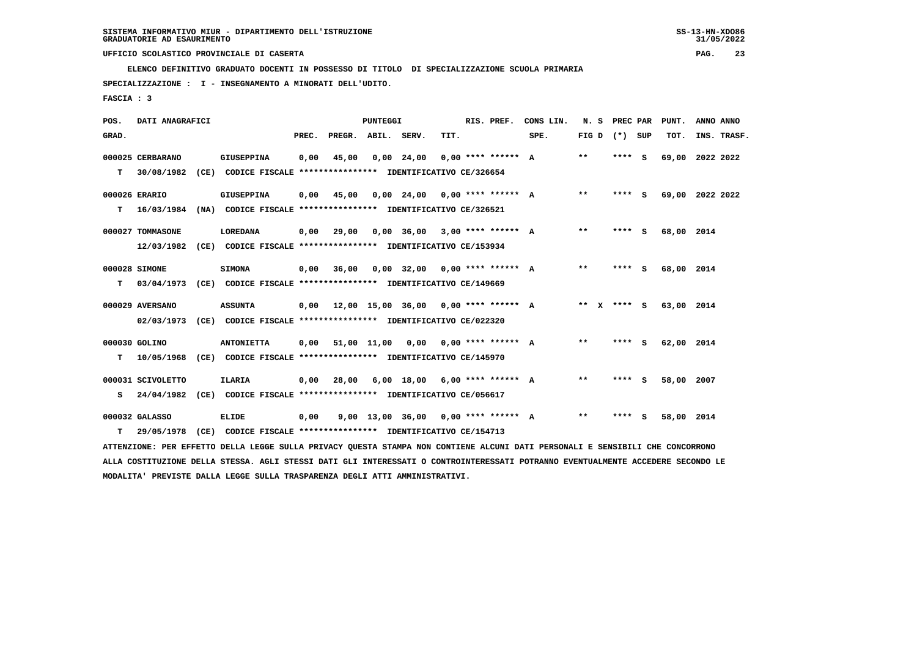**ELENCO DEFINITIVO GRADUATO DOCENTI IN POSSESSO DI TITOLO DI SPECIALIZZAZIONE SCUOLA PRIMARIA**

 **SPECIALIZZAZIONE : I - INSEGNAMENTO A MINORATI DELL'UDITO.**

 **FASCIA : 3**

| POS.  | DATI ANAGRAFICI   |                                                                                                                               |       |                                             | PUNTEGGI |                                     |      | RIS. PREF.           | CONS LIN. | N.S             | <b>PREC PAR</b> | PUNT.           | ANNO ANNO |             |
|-------|-------------------|-------------------------------------------------------------------------------------------------------------------------------|-------|---------------------------------------------|----------|-------------------------------------|------|----------------------|-----------|-----------------|-----------------|-----------------|-----------|-------------|
| GRAD. |                   |                                                                                                                               | PREC. | PREGR. ABIL. SERV.                          |          |                                     | TIT. |                      | SPE.      | FIG D $(*)$ SUP |                 | TOT.            |           | INS. TRASF. |
|       | 000025 CERBARANO  | GIUSEPPINA                                                                                                                    | 0,00  | 45,00                                       |          | $0,00$ 24,00                        |      | $0.00$ **** ****** A |           | $**$            | **** S          | 69,00 2022 2022 |           |             |
| T.    | 30/08/1982        | (CE) CODICE FISCALE **************** IDENTIFICATIVO CE/326654                                                                 |       |                                             |          |                                     |      |                      |           |                 |                 |                 |           |             |
|       | 000026 ERARIO     | GIUSEPPINA                                                                                                                    | 0.00  | 45,00                                       |          | $0,00$ 24,00 0,00 **** ****** A     |      |                      |           | $\star\star$    | $***$ S         | 69,00 2022 2022 |           |             |
| T.    | 16/03/1984        | (NA) CODICE FISCALE **************** IDENTIFICATIVO CE/326521                                                                 |       |                                             |          |                                     |      |                      |           |                 |                 |                 |           |             |
|       | 000027 TOMMASONE  | LOREDANA                                                                                                                      | 0,00  | 29,00                                       |          | $0,00$ 36,00 3,00 **** ****** A     |      |                      |           | $***$           | $***$ S         | 68,00 2014      |           |             |
|       | 12/03/1982        | (CE) CODICE FISCALE **************** IDENTIFICATIVO CE/153934                                                                 |       |                                             |          |                                     |      |                      |           |                 |                 |                 |           |             |
|       | 000028 SIMONE     | <b>SIMONA</b>                                                                                                                 | 0,00  | 36,00                                       |          | $0.00$ 32.00 $0.00$ **** ****** A   |      |                      |           | $***$           | **** S          | 68,00 2014      |           |             |
| T.    | 03/04/1973        | (CE) CODICE FISCALE *************** IDENTIFICATIVO CE/149669                                                                  |       |                                             |          |                                     |      |                      |           |                 |                 |                 |           |             |
|       | 000029 AVERSANO   | <b>ASSUNTA</b>                                                                                                                |       | $0.00$ 12.00 15.00 36.00 0.00 **** ****** A |          |                                     |      |                      |           | ** x **** S     |                 | 63,00 2014      |           |             |
|       | 02/03/1973        | (CE) CODICE FISCALE **************** IDENTIFICATIVO CE/022320                                                                 |       |                                             |          |                                     |      |                      |           |                 |                 |                 |           |             |
|       | 000030 GOLINO     | <b>ANTONIETTA</b>                                                                                                             |       | $0,00$ 51,00 11,00 0,00 0,00 **** ****** A  |          |                                     |      |                      |           | $***$           | $***$ S         | 62,00 2014      |           |             |
| т     |                   | 10/05/1968 (CE) CODICE FISCALE *************** IDENTIFICATIVO CE/145970                                                       |       |                                             |          |                                     |      |                      |           |                 |                 |                 |           |             |
|       | 000031 SCIVOLETTO | <b>ILARIA</b>                                                                                                                 | 0,00  | 28,00                                       |          | $6,00$ 18,00 $6,00$ **** ****** A   |      |                      |           | $* *$           | **** S          | 58,00 2007      |           |             |
|       | S 24/04/1982      | (CE) CODICE FISCALE **************** IDENTIFICATIVO CE/056617                                                                 |       |                                             |          |                                     |      |                      |           |                 |                 |                 |           |             |
|       |                   |                                                                                                                               |       |                                             |          |                                     |      |                      |           |                 |                 |                 |           |             |
|       | 000032 GALASSO    | <b>ELIDE</b>                                                                                                                  | 0,00  |                                             |          | 9,00 13,00 36,00 0,00 **** ****** A |      |                      |           | $* *$           | **** S          | 58,00 2014      |           |             |
| т     | 29/05/1978        | (CE) CODICE FISCALE **************** IDENTIFICATIVO CE/154713                                                                 |       |                                             |          |                                     |      |                      |           |                 |                 |                 |           |             |
|       |                   | ATTENZIONE: PER EFFETTO DELLA LEGGE SULLA PRIVACY QUESTA STAMPA NON CONTIENE ALCUNI DATI PERSONALI E SENSIBILI CHE CONCORRONO |       |                                             |          |                                     |      |                      |           |                 |                 |                 |           |             |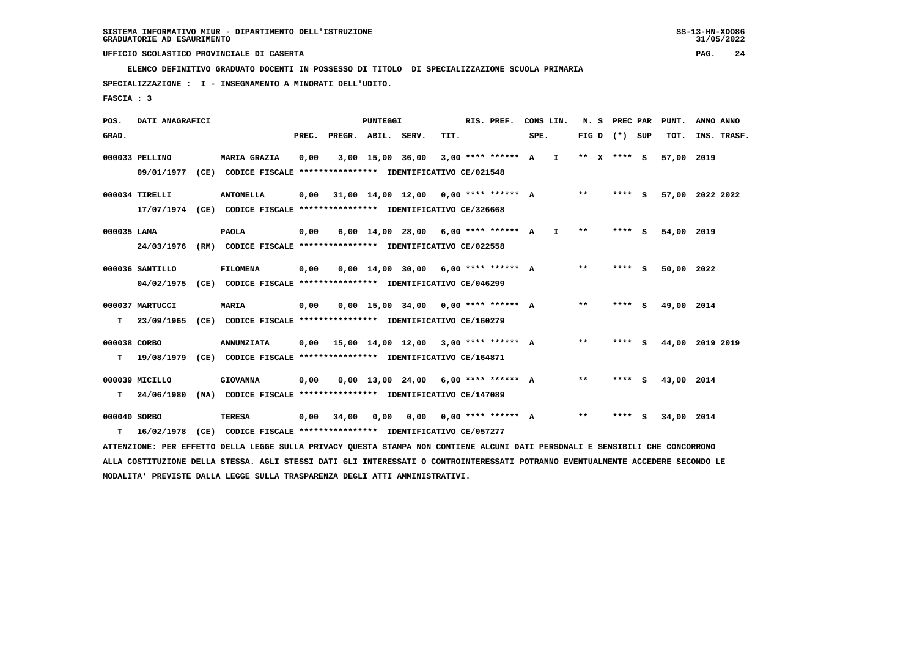**ELENCO DEFINITIVO GRADUATO DOCENTI IN POSSESSO DI TITOLO DI SPECIALIZZAZIONE SCUOLA PRIMARIA**

 **SPECIALIZZAZIONE : I - INSEGNAMENTO A MINORATI DELL'UDITO.**

 **FASCIA : 3**

| POS.         | DATI ANAGRAFICI |      |                                                                                                                               |       |                                      | <b>PUNTEGGI</b>  |                                       |      | RIS. PREF.                  |      | CONS LIN.    | N. S    | PREC PAR          |     | PUNT.      | ANNO ANNO       |
|--------------|-----------------|------|-------------------------------------------------------------------------------------------------------------------------------|-------|--------------------------------------|------------------|---------------------------------------|------|-----------------------------|------|--------------|---------|-------------------|-----|------------|-----------------|
| GRAD.        |                 |      |                                                                                                                               | PREC. | PREGR. ABIL. SERV.                   |                  |                                       | TIT. |                             | SPE. |              |         | FIG $D$ $(*)$ SUP |     | TOT.       | INS. TRASF.     |
|              | 000033 PELLINO  |      | <b>MARIA GRAZIA</b>                                                                                                           | 0,00  |                                      | 3,00 15,00 36,00 |                                       |      | $3,00$ **** ****** A        |      | $\mathbf{I}$ | $***$ X | **** S            |     | 57,00      | 2019            |
|              | 09/01/1977      |      | (CE) CODICE FISCALE **************** IDENTIFICATIVO CE/021548                                                                 |       |                                      |                  |                                       |      |                             |      |              |         |                   |     |            |                 |
|              | 000034 TIRELLI  |      | <b>ANTONELLA</b>                                                                                                              | 0,00  |                                      |                  | 31,00 14,00 12,00                     |      | $0.00$ **** ****** A        |      |              | $***$   | **** S            |     |            | 57,00 2022 2022 |
|              |                 |      | 17/07/1974 (CE) CODICE FISCALE *************** IDENTIFICATIVO CE/326668                                                       |       |                                      |                  |                                       |      |                             |      |              |         |                   |     |            |                 |
| 000035 LAMA  |                 |      | <b>PAOLA</b>                                                                                                                  | 0,00  |                                      |                  | 6,00 14,00 28,00                      |      | $6.00$ **** ****** A        |      | $\mathbf{I}$ | $* *$   | ****              | - 5 | 54,00 2019 |                 |
|              | 24/03/1976      |      | (RM) CODICE FISCALE **************** IDENTIFICATIVO CE/022558                                                                 |       |                                      |                  |                                       |      |                             |      |              |         |                   |     |            |                 |
|              | 000036 SANTILLO |      | <b>FILOMENA</b>                                                                                                               | 0,00  |                                      |                  | $0,00$ $14,00$ $30,00$                |      | $6.00$ **** ****** A        |      |              | $* *$   | **** S            |     | 50,00      | 2022            |
|              | 04/02/1975      |      | (CE) CODICE FISCALE **************** IDENTIFICATIVO CE/046299                                                                 |       |                                      |                  |                                       |      |                             |      |              |         |                   |     |            |                 |
|              | 000037 MARTUCCI |      | <b>MARIA</b>                                                                                                                  | 0,00  |                                      |                  | $0,00$ 15,00 34,00 0,00 **** ****** A |      |                             |      |              | $* *$   | **** S            |     | 49,00 2014 |                 |
| т            | 23/09/1965      |      | (CE) CODICE FISCALE **************** IDENTIFICATIVO CE/160279                                                                 |       |                                      |                  |                                       |      |                             |      |              |         |                   |     |            |                 |
| 000038 CORBO |                 |      | <b>ANNUNZIATA</b>                                                                                                             | 0.00  | 15,00 14,00 12,00 3,00 **** ****** A |                  |                                       |      |                             |      |              | $* *$   | **** S            |     |            | 44,00 2019 2019 |
| т            | 19/08/1979      |      | (CE) CODICE FISCALE **************** IDENTIFICATIVO CE/164871                                                                 |       |                                      |                  |                                       |      |                             |      |              |         |                   |     |            |                 |
|              | 000039 MICILLO  |      | <b>GIOVANNA</b>                                                                                                               | 0,00  |                                      |                  | $0,00$ 13,00 24,00 6,00 **** ****** A |      |                             |      |              | $***$   | **** S            |     | 43,00 2014 |                 |
| т            | 24/06/1980      |      | (NA) CODICE FISCALE **************** IDENTIFICATIVO CE/147089                                                                 |       |                                      |                  |                                       |      |                             |      |              |         |                   |     |            |                 |
| 000040 SORBO |                 |      | <b>TERESA</b>                                                                                                                 | 0,00  | 34,00                                | 0,00             |                                       |      | $0.00$ $0.00$ **** ****** A |      |              | $***$   | **** S            |     | 34,00 2014 |                 |
| т            | 16/02/1978      | (CE) | CODICE FISCALE **************** IDENTIFICATIVO CE/057277                                                                      |       |                                      |                  |                                       |      |                             |      |              |         |                   |     |            |                 |
|              |                 |      | ATTENZIONE: PER EFFETTO DELLA LEGGE SULLA PRIVACY QUESTA STAMPA NON CONTIENE ALCUNI DATI PERSONALI E SENSIBILI CHE CONCORRONO |       |                                      |                  |                                       |      |                             |      |              |         |                   |     |            |                 |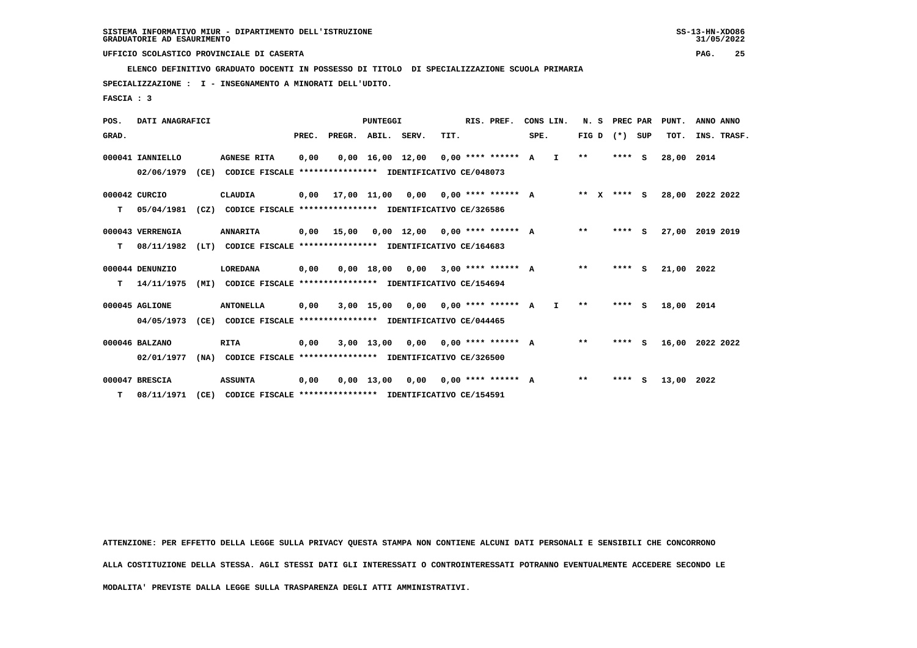**ELENCO DEFINITIVO GRADUATO DOCENTI IN POSSESSO DI TITOLO DI SPECIALIZZAZIONE SCUOLA PRIMARIA**

 **SPECIALIZZAZIONE : I - INSEGNAMENTO A MINORATI DELL'UDITO.**

 **FASCIA : 3**

| POS.  | DATI ANAGRAFICI  |      |                                                          |       |                    | PUNTEGGI     |                                       |      | RIS. PREF.                  |      | CONS LIN.    |              | N. S PREC PAR |          | PUNT.      | ANNO ANNO   |
|-------|------------------|------|----------------------------------------------------------|-------|--------------------|--------------|---------------------------------------|------|-----------------------------|------|--------------|--------------|---------------|----------|------------|-------------|
| GRAD. |                  |      |                                                          | PREC. | PREGR. ABIL. SERV. |              |                                       | TIT. |                             | SPE. |              | FIG D        | $(*)$         | SUP      | TOT.       | INS. TRASF. |
|       | 000041 IANNIELLO |      | <b>AGNESE RITA</b>                                       | 0,00  |                    |              | $0,00$ 16,00 12,00 0,00 **** ****** A |      |                             |      | $\mathbf{I}$ | $**$         | $***$ S       |          | 28,00      | 2014        |
|       | 02/06/1979       | (CE) | CODICE FISCALE **************** IDENTIFICATIVO CE/048073 |       |                    |              |                                       |      |                             |      |              |              |               |          |            |             |
|       | 000042 CURCIO    |      | CLAUDIA                                                  | 0,00  |                    | 17,00 11,00  |                                       |      | $0.00$ $0.00$ **** ****** A |      |              | $***$ X      | **** S        |          | 28,00      | 2022 2022   |
| т     | 05/04/1981       | (CZ) | CODICE FISCALE **************** IDENTIFICATIVO CE/326586 |       |                    |              |                                       |      |                             |      |              |              |               |          |            |             |
|       | 000043 VERRENGIA |      | <b>ANNARITA</b>                                          | 0,00  | 15,00              |              | $0.00$ 12.00 0.00 **** ****** A       |      |                             |      |              | $* *$        | **** S        |          | 27,00      | 2019 2019   |
| т     | 08/11/1982       | (LT) | CODICE FISCALE **************** IDENTIFICATIVO CE/164683 |       |                    |              |                                       |      |                             |      |              |              |               |          |            |             |
|       | 000044 DENUNZIO  |      | LOREDANA                                                 | 0,00  |                    | 0,00 18,00   | 0,00                                  |      | $3.00$ **** ****** A        |      |              | $**$         | ****          | <b>S</b> | 21,00 2022 |             |
| т     | 14/11/1975       | (MI) | CODICE FISCALE **************** IDENTIFICATIVO CE/154694 |       |                    |              |                                       |      |                             |      |              |              |               |          |            |             |
|       | 000045 AGLIONE   |      | <b>ANTONELLA</b>                                         | 0,00  |                    | 3,00 15,00   |                                       |      | $0.00$ $0.00$ **** ****** A |      | $\mathbf{I}$ | $\star\star$ | $***$ S       |          | 18,00      | 2014        |
|       | 04/05/1973       | (CE) | CODICE FISCALE **************** IDENTIFICATIVO CE/044465 |       |                    |              |                                       |      |                             |      |              |              |               |          |            |             |
|       | 000046 BALZANO   |      | RITA                                                     | 0,00  |                    |              | $3,00$ 13,00 0,00 0,00 **** ****** A  |      |                             |      |              | $* *$        | $***$ S       |          | 16,00      | 2022 2022   |
|       | 02/01/1977       | (NA) | CODICE FISCALE **************** IDENTIFICATIVO CE/326500 |       |                    |              |                                       |      |                             |      |              |              |               |          |            |             |
|       | 000047 BRESCIA   |      | <b>ASSUNTA</b>                                           | 0,00  |                    | $0,00$ 13,00 | 0,00                                  |      | $0,00$ **** ****** A        |      |              | $\star\star$ | ****          | s        | 13,00      | 2022        |
| т     | 08/11/1971       | (CE) | CODICE FISCALE **************** IDENTIFICATIVO CE/154591 |       |                    |              |                                       |      |                             |      |              |              |               |          |            |             |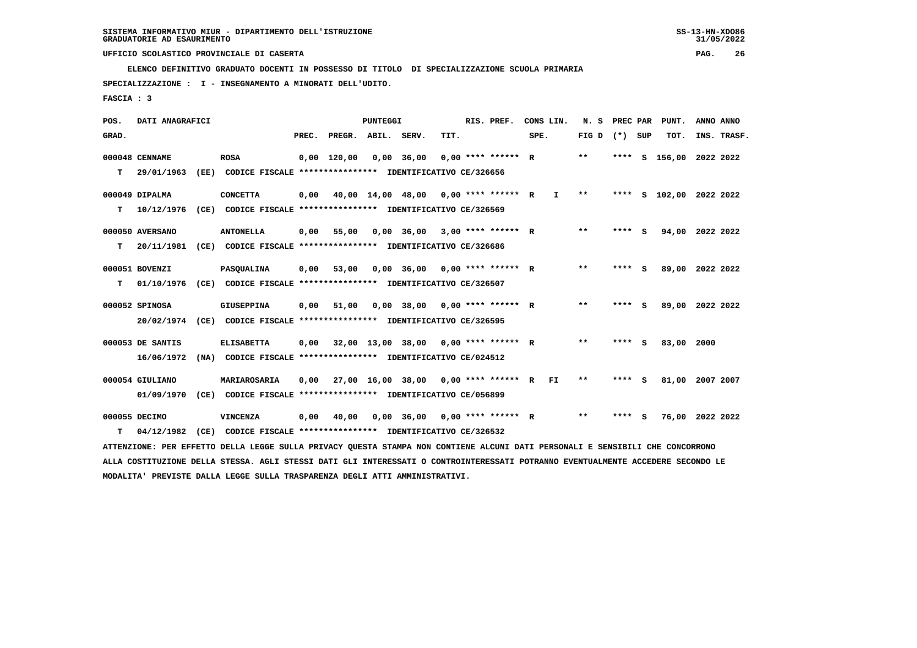**ELENCO DEFINITIVO GRADUATO DOCENTI IN POSSESSO DI TITOLO DI SPECIALIZZAZIONE SCUOLA PRIMARIA**

 **SPECIALIZZAZIONE : I - INSEGNAMENTO A MINORATI DELL'UDITO.**

 **MODALITA' PREVISTE DALLA LEGGE SULLA TRASPARENZA DEGLI ATTI AMMINISTRATIVI.**

 **FASCIA : 3**

| POS.  | DATI ANAGRAFICI  |      |                                                                                                                                 |       |                    | <b>PUNTEGGI</b> |                                         |      | RIS. PREF.           | CONS LIN. |              | N.S             | PREC PAR |     | PUNT.                   | ANNO ANNO |             |
|-------|------------------|------|---------------------------------------------------------------------------------------------------------------------------------|-------|--------------------|-----------------|-----------------------------------------|------|----------------------|-----------|--------------|-----------------|----------|-----|-------------------------|-----------|-------------|
| GRAD. |                  |      |                                                                                                                                 | PREC. | PREGR. ABIL. SERV. |                 |                                         | TIT. |                      | SPE.      |              | FIG D $(*)$ SUP |          |     | TOT.                    |           | INS. TRASF. |
|       | 000048 CENNAME   |      | <b>ROSA</b>                                                                                                                     |       | $0,00$ 120,00      |                 | $0,00$ 36,00                            |      | $0.00$ **** ****** R |           |              | $***$           | ****     | - S | 156,00                  | 2022 2022 |             |
| т     | 29/01/1963       |      | (EE) CODICE FISCALE *************** IDENTIFICATIVO CE/326656                                                                    |       |                    |                 |                                         |      |                      |           |              |                 |          |     |                         |           |             |
|       | 000049 DIPALMA   |      | <b>CONCETTA</b>                                                                                                                 | 0,00  |                    |                 | 40,00 14,00 48,00 0,00 **** ****** R    |      |                      |           | $\mathbf{I}$ | $***$           |          |     | **** S 102,00 2022 2022 |           |             |
| т     | 10/12/1976       |      | (CE) CODICE FISCALE **************** IDENTIFICATIVO CE/326569                                                                   |       |                    |                 |                                         |      |                      |           |              |                 |          |     |                         |           |             |
|       | 000050 AVERSANO  |      | <b>ANTONELLA</b>                                                                                                                | 0,00  | 55,00              |                 | $0,00$ 36,00 3,00 **** ****** R         |      |                      |           |              | $* *$           | **** S   |     | 94,00 2022 2022         |           |             |
| т     | 20/11/1981       |      | (CE) CODICE FISCALE **************** IDENTIFICATIVO CE/326686                                                                   |       |                    |                 |                                         |      |                      |           |              |                 |          |     |                         |           |             |
|       | 000051 BOVENZI   |      | PASQUALINA                                                                                                                      | 0,00  | 53,00              |                 | $0,00$ 36,00 0,00 **** ****** R         |      |                      |           |              | $* *$           | **** S   |     | 89,00 2022 2022         |           |             |
| т     | 01/10/1976       |      | (CE) CODICE FISCALE **************** IDENTIFICATIVO CE/326507                                                                   |       |                    |                 |                                         |      |                      |           |              |                 |          |     |                         |           |             |
|       | 000052 SPINOSA   |      | <b>GIUSEPPINA</b>                                                                                                               | 0,00  | 51,00              |                 | $0,00$ 38,00 0,00 **** ****** R         |      |                      |           |              | $* *$           | **** S   |     | 89,00                   | 2022 2022 |             |
|       | 20/02/1974       |      | (CE) CODICE FISCALE **************** IDENTIFICATIVO CE/326595                                                                   |       |                    |                 |                                         |      |                      |           |              |                 |          |     |                         |           |             |
|       | 000053 DE SANTIS |      | <b>ELISABETTA</b>                                                                                                               | 0,00  |                    |                 | 32,00 13,00 38,00 0,00 **** ****** R    |      |                      |           |              | $***$           | **** S   |     | 83,00                   | 2000      |             |
|       | 16/06/1972       |      | (NA) CODICE FISCALE **************** IDENTIFICATIVO CE/024512                                                                   |       |                    |                 |                                         |      |                      |           |              |                 |          |     |                         |           |             |
|       | 000054 GIULIANO  |      | MARIAROSARIA                                                                                                                    | 0,00  |                    |                 | 27,00 16,00 38,00 0,00 **** ****** R FI |      |                      |           |              | **              | **** S   |     | 81,00                   | 2007 2007 |             |
|       | 01/09/1970       |      | (CE) CODICE FISCALE **************** IDENTIFICATIVO CE/056899                                                                   |       |                    |                 |                                         |      |                      |           |              |                 |          |     |                         |           |             |
|       | 000055 DECIMO    |      | VINCENZA                                                                                                                        | 0,00  | 40,00              |                 | $0,00$ 36,00 0,00 **** ****** R         |      |                      |           |              | **              | **** S   |     | 76,00 2022 2022         |           |             |
| т     | 04/12/1982       | (CE) | CODICE FISCALE **************** IDENTIFICATIVO CE/326532                                                                        |       |                    |                 |                                         |      |                      |           |              |                 |          |     |                         |           |             |
|       |                  |      | ATTENZIONE: PER EFFETTO DELLA LEGGE SULLA PRIVACY QUESTA STAMPA NON CONTIENE ALCUNI DATI PERSONALI E SENSIBILI CHE CONCORRONO   |       |                    |                 |                                         |      |                      |           |              |                 |          |     |                         |           |             |
|       |                  |      | ALLA COSTITUZIONE DELLA STESSA. AGLI STESSI DATI GLI INTERESSATI O CONTROINTERESSATI POTRANNO EVENTUALMENTE ACCEDERE SECONDO LE |       |                    |                 |                                         |      |                      |           |              |                 |          |     |                         |           |             |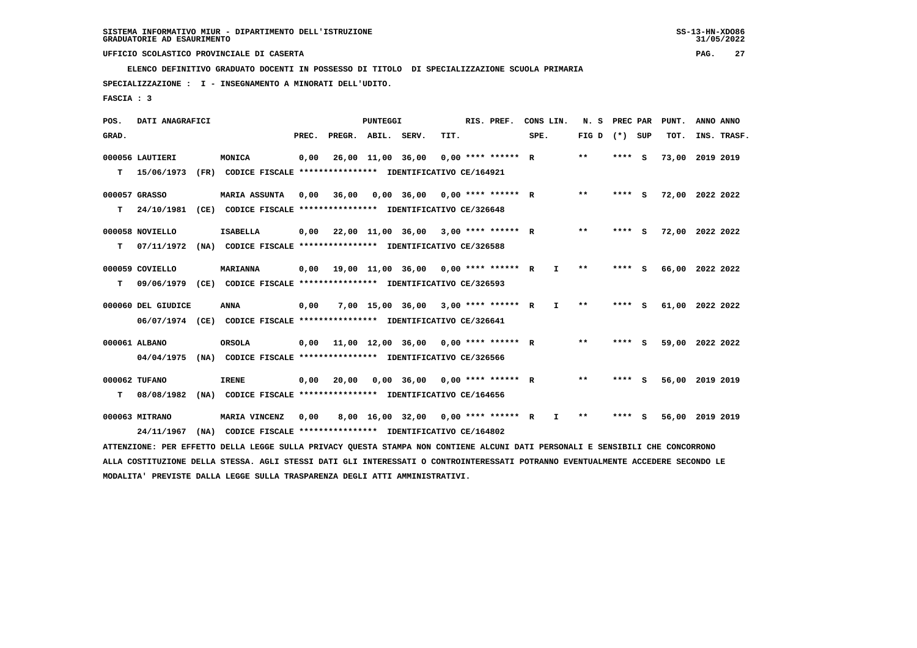**ELENCO DEFINITIVO GRADUATO DOCENTI IN POSSESSO DI TITOLO DI SPECIALIZZAZIONE SCUOLA PRIMARIA**

 **SPECIALIZZAZIONE : I - INSEGNAMENTO A MINORATI DELL'UDITO.**

 **FASCIA : 3**

| POS.  | DATI ANAGRAFICI    |                                                                                                                                 |       |                                             | PUNTEGGI          |                                      |      | RIS. PREF.           | CONS LIN. |              | N.S             | PREC PAR | PUNT.           | ANNO ANNO |             |
|-------|--------------------|---------------------------------------------------------------------------------------------------------------------------------|-------|---------------------------------------------|-------------------|--------------------------------------|------|----------------------|-----------|--------------|-----------------|----------|-----------------|-----------|-------------|
| GRAD. |                    |                                                                                                                                 | PREC. | PREGR. ABIL. SERV.                          |                   |                                      | TIT. |                      | SPE.      |              | FIG D $(*)$ SUP |          | TOT.            |           | INS. TRASF. |
|       | 000056 LAUTIERI    | MONICA                                                                                                                          | 0,00  |                                             | 26,00 11,00 36,00 |                                      |      | $0.00$ **** ****** R |           |              | $***$           | **** S   | 73,00 2019 2019 |           |             |
| т     | 15/06/1973         | (FR) CODICE FISCALE **************** IDENTIFICATIVO CE/164921                                                                   |       |                                             |                   |                                      |      |                      |           |              |                 |          |                 |           |             |
|       | 000057 GRASSO      | <b>MARIA ASSUNTA</b>                                                                                                            | 0,00  | 36,00                                       |                   | $0.00$ 36.00 0.00 **** ****** R      |      |                      |           |              | $* *$           | **** S   | 72,00 2022 2022 |           |             |
| т     | 24/10/1981         | (CE) CODICE FISCALE **************** IDENTIFICATIVO CE/326648                                                                   |       |                                             |                   |                                      |      |                      |           |              |                 |          |                 |           |             |
|       | 000058 NOVIELLO    | <b>ISABELLA</b>                                                                                                                 | 0,00  |                                             |                   | 22,00 11,00 36,00 3,00 **** ****** R |      |                      |           |              | $**$            | **** S   | 72,00 2022 2022 |           |             |
| т     | 07/11/1972         | (NA) CODICE FISCALE **************** IDENTIFICATIVO CE/326588                                                                   |       |                                             |                   |                                      |      |                      |           |              |                 |          |                 |           |             |
|       | 000059 COVIELLO    | <b>MARIANNA</b>                                                                                                                 |       | $0,00$ 19,00 11,00 36,00 0,00 **** ****** R |                   |                                      |      |                      |           | I.           | $* *$           | **** S   | 66,00 2022 2022 |           |             |
| т     |                    | 09/06/1979 (CE) CODICE FISCALE **************** IDENTIFICATIVO CE/326593                                                        |       |                                             |                   |                                      |      |                      |           |              |                 |          |                 |           |             |
|       | 000060 DEL GIUDICE | <b>ANNA</b>                                                                                                                     | 0,00  |                                             |                   | 7,00 15,00 36,00 3,00 **** ****** R  |      |                      |           | I.           | $***$           | **** S   | 61,00 2022 2022 |           |             |
|       |                    | 06/07/1974 (CE) CODICE FISCALE *************** IDENTIFICATIVO CE/326641                                                         |       |                                             |                   |                                      |      |                      |           |              |                 |          |                 |           |             |
|       | 000061 ALBANO      | <b>ORSOLA</b>                                                                                                                   |       | $0,00$ 11,00 12,00 36,00 0,00 **** ****** R |                   |                                      |      |                      |           |              | **              | **** S   | 59,00 2022 2022 |           |             |
|       | 04/04/1975         | (NA) CODICE FISCALE **************** IDENTIFICATIVO CE/326566                                                                   |       |                                             |                   |                                      |      |                      |           |              |                 |          |                 |           |             |
|       | 000062 TUFANO      | <b>IRENE</b>                                                                                                                    | 0,00  | 20,00                                       |                   | $0,00$ 36,00 0,00 **** ****** R      |      |                      |           |              | **              | **** S   | 56,00 2019 2019 |           |             |
| т     | 08/08/1982         | (NA) CODICE FISCALE **************** IDENTIFICATIVO CE/164656                                                                   |       |                                             |                   |                                      |      |                      |           |              |                 |          |                 |           |             |
|       | 000063 MITRANO     | MARIA VINCENZ                                                                                                                   | 0,00  |                                             |                   | 8,00 16,00 32,00 0,00 **** ****** R  |      |                      |           | $\mathbf{I}$ | $* *$           | **** S   | 56,00 2019 2019 |           |             |
|       | 24/11/1967         | (NA) CODICE FISCALE **************** IDENTIFICATIVO CE/164802                                                                   |       |                                             |                   |                                      |      |                      |           |              |                 |          |                 |           |             |
|       |                    | ATTENZIONE: PER EFFETTO DELLA LEGGE SULLA PRIVACY QUESTA STAMPA NON CONTIENE ALCUNI DATI PERSONALI E SENSIBILI CHE CONCORRONO   |       |                                             |                   |                                      |      |                      |           |              |                 |          |                 |           |             |
|       |                    | ALLA COSTITUZIONE DELLA STESSA. AGLI STESSI DATI GLI INTERESSATI O CONTROINTERESSATI POTRANNO EVENTUALMENTE ACCEDERE SECONDO LE |       |                                             |                   |                                      |      |                      |           |              |                 |          |                 |           |             |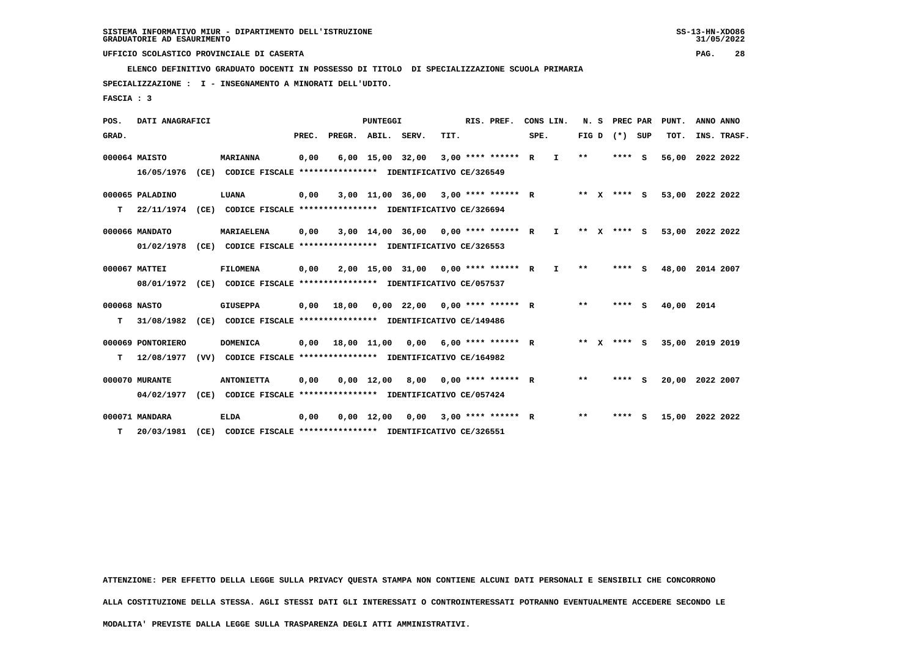**ELENCO DEFINITIVO GRADUATO DOCENTI IN POSSESSO DI TITOLO DI SPECIALIZZAZIONE SCUOLA PRIMARIA**

 **SPECIALIZZAZIONE : I - INSEGNAMENTO A MINORATI DELL'UDITO.**

 **FASCIA : 3**

| POS.         | DATI ANAGRAFICI   |      |                                                               |       |              | <b>PUNTEGGI</b>    |                  |      | RIS. PREF.           |      | CONS LIN.    | N.S     |          | PREC PAR |     | PUNT.           | ANNO ANNO |             |
|--------------|-------------------|------|---------------------------------------------------------------|-------|--------------|--------------------|------------------|------|----------------------|------|--------------|---------|----------|----------|-----|-----------------|-----------|-------------|
| GRAD.        |                   |      |                                                               | PREC. | PREGR. ABIL. |                    | SERV.            | TIT. |                      | SPE. |              | FIG D   |          | $(*)$    | SUP | TOT.            |           | INS. TRASF. |
|              | 000064 MAISTO     |      | <b>MARIANNA</b>                                               | 0,00  |              | $6,00$ 15,00 32,00 |                  |      | 3,00 **** ****** R   |      | I.           | $* *$   |          | **** S   |     | 56,00           | 2022 2022 |             |
|              | 16/05/1976        |      | (CE) CODICE FISCALE **************** IDENTIFICATIVO CE/326549 |       |              |                    |                  |      |                      |      |              |         |          |          |     |                 |           |             |
|              | 000065 PALADINO   |      | LUANA                                                         | 0,00  |              |                    | 3,00 11,00 36,00 |      | $3.00$ **** ****** R |      |              | $***$   | <b>X</b> | **** S   |     | 53,00 2022 2022 |           |             |
| т            | 22/11/1974        |      | (CE) CODICE FISCALE **************** IDENTIFICATIVO CE/326694 |       |              |                    |                  |      |                      |      |              |         |          |          |     |                 |           |             |
|              | 000066 MANDATO    |      | <b>MARIAELENA</b>                                             | 0,00  |              | 3,00 14,00 36,00   |                  |      | $0.00$ **** ****** R |      | $\mathbf{I}$ | ** $X$  |          | **** S   |     | 53,00           | 2022 2022 |             |
|              | 01/02/1978        | (CE) | CODICE FISCALE **************** IDENTIFICATIVO CE/326553      |       |              |                    |                  |      |                      |      |              |         |          |          |     |                 |           |             |
|              | 000067 MATTEI     |      | <b>FILOMENA</b>                                               | 0,00  |              |                    | 2,00 15,00 31,00 |      | $0.00$ **** ****** R |      | $\mathbf{I}$ | $* *$   |          | $***$ S  |     | 48,00           | 2014 2007 |             |
|              | 08/01/1972        |      | (CE) CODICE FISCALE **************** IDENTIFICATIVO CE/057537 |       |              |                    |                  |      |                      |      |              |         |          |          |     |                 |           |             |
| 000068 NASTO |                   |      | <b>GIUSEPPA</b>                                               | 0,00  | 18,00        |                    | $0.00$ 22.00     |      | $0.00$ **** ****** R |      |              | $* *$   |          | ****     | - 5 | 40,00 2014      |           |             |
| т            | 31/08/1982        |      | (CE) CODICE FISCALE **************** IDENTIFICATIVO CE/149486 |       |              |                    |                  |      |                      |      |              |         |          |          |     |                 |           |             |
|              | 000069 PONTORIERO |      | <b>DOMENICA</b>                                               | 0,00  |              | 18,00 11,00        | 0,00             |      | $6.00********* R$    |      |              | $***$ X |          | **** S   |     | 35,00           | 2019 2019 |             |
| т            | 12/08/1977        | (VV) | CODICE FISCALE **************** IDENTIFICATIVO CE/164982      |       |              |                    |                  |      |                      |      |              |         |          |          |     |                 |           |             |
|              | 000070 MURANTE    |      | <b>ANTONIETTA</b>                                             | 0,00  |              | $0,00$ 12,00       | 8,00             |      | $0.00$ **** ****** R |      |              | $**$    |          | ****     | - S | 20,00           | 2022 2007 |             |
|              | 04/02/1977        |      | (CE) CODICE FISCALE **************** IDENTIFICATIVO CE/057424 |       |              |                    |                  |      |                      |      |              |         |          |          |     |                 |           |             |
|              | 000071 MANDARA    |      | <b>ELDA</b>                                                   | 0,00  |              | $0,00 \quad 12,00$ | 0,00             |      | $3.00$ **** ****** R |      |              | **      |          | ****     | - S | 15,00 2022 2022 |           |             |
| т            | 20/03/1981        | (CE) | CODICE FISCALE **************** IDENTIFICATIVO CE/326551      |       |              |                    |                  |      |                      |      |              |         |          |          |     |                 |           |             |

 **ATTENZIONE: PER EFFETTO DELLA LEGGE SULLA PRIVACY QUESTA STAMPA NON CONTIENE ALCUNI DATI PERSONALI E SENSIBILI CHE CONCORRONO**

 **ALLA COSTITUZIONE DELLA STESSA. AGLI STESSI DATI GLI INTERESSATI O CONTROINTERESSATI POTRANNO EVENTUALMENTE ACCEDERE SECONDO LE**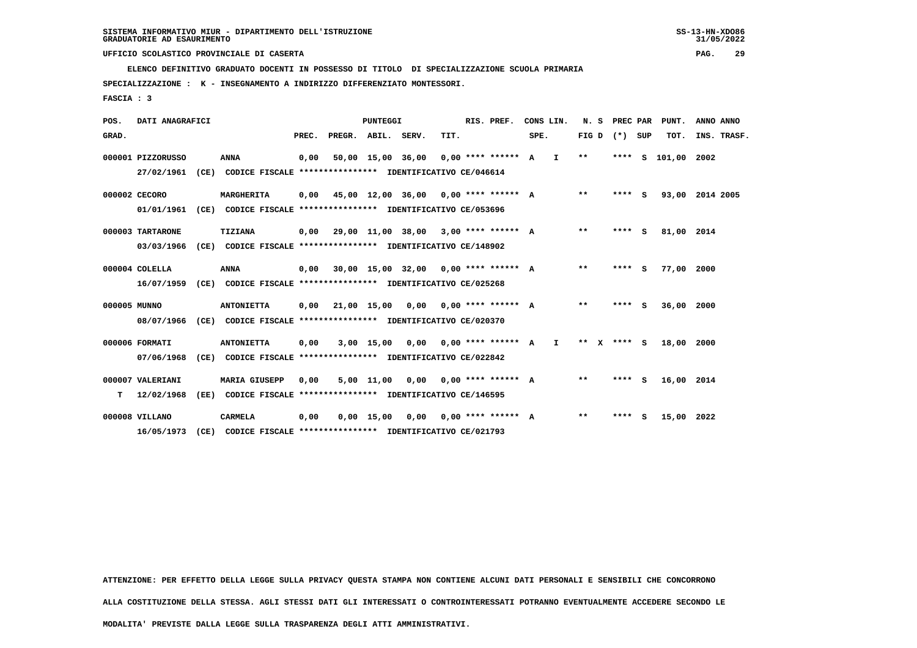**ELENCO DEFINITIVO GRADUATO DOCENTI IN POSSESSO DI TITOLO DI SPECIALIZZAZIONE SCUOLA PRIMARIA**

 **SPECIALIZZAZIONE : K - INSEGNAMENTO A INDIRIZZO DIFFERENZIATO MONTESSORI.**

 **FASCIA : 3**

| POS.         | DATI ANAGRAFICI                |      |                                                                                        |       |                                             | <b>PUNTEGGI</b> |                                      |      | RIS. PREF.           | CONS LIN. |              | N. S    |         | PREC PAR | PUNT.           | ANNO ANNO |             |
|--------------|--------------------------------|------|----------------------------------------------------------------------------------------|-------|---------------------------------------------|-----------------|--------------------------------------|------|----------------------|-----------|--------------|---------|---------|----------|-----------------|-----------|-------------|
| GRAD.        |                                |      |                                                                                        | PREC. | PREGR. ABIL.                                |                 | SERV.                                | TIT. |                      | SPE.      |              | FIG D   |         | (*) SUP  | TOT.            |           | INS. TRASF. |
|              | 000001 PIZZORUSSO              |      | <b>ANNA</b><br>27/02/1961 (CE) CODICE FISCALE *************** IDENTIFICATIVO CE/046614 | 0,00  |                                             |                 | 50,00 15,00 36,00                    |      | $0.00$ **** ****** A |           | $\mathbf{I}$ | $***$   | $***$ S |          | 101,00          | 2002      |             |
|              | 000002 CECORO                  |      | MARGHERITA                                                                             |       | $0,00$ 45,00 12,00 36,00 0,00 **** ****** A |                 |                                      |      |                      |           |              | $***$   | **** S  |          | 93,00 2014 2005 |           |             |
|              | 01/01/1961<br>000003 TARTARONE |      | (CE) CODICE FISCALE **************** IDENTIFICATIVO CE/053696<br><b>TIZIANA</b>        |       | 0,00 29,00 11,00 38,00                      |                 |                                      |      | $3.00$ **** ****** A |           |              | $***$   | **** S  |          | 81,00 2014      |           |             |
|              | 03/03/1966                     |      | (CE) CODICE FISCALE **************** IDENTIFICATIVO CE/148902                          |       |                                             |                 |                                      |      |                      |           |              |         |         |          |                 |           |             |
|              | 000004 COLELLA<br>16/07/1959   |      | <b>ANNA</b><br>(CE) CODICE FISCALE **************** IDENTIFICATIVO CE/025268           |       | $0,00$ 30,00 15,00 32,00 0,00 **** ****** A |                 |                                      |      |                      |           |              | $* *$   | **** S  |          | 77.00           | 2000      |             |
| 000005 MUNNO | 08/07/1966                     |      | <b>ANTONIETTA</b><br>(CE) CODICE FISCALE **************** IDENTIFICATIVO CE/020370     |       | $0,00$ 21,00 15,00 0,00 0,00 **** ****** A  |                 |                                      |      |                      |           |              | $* *$   | **** S  |          | 36,00           | 2000      |             |
|              | 000006 FORMATI                 |      | <b>ANTONIETTA</b>                                                                      | 0,00  |                                             | $3,00$ 15,00    | 0,00                                 |      | $0.00$ **** ****** A |           | $\mathbf{I}$ | $***$ X | $***$ S |          | 18,00 2000      |           |             |
|              | 07/06/1968<br>000007 VALERIANI |      | (CE) CODICE FISCALE **************** IDENTIFICATIVO CE/022842<br><b>MARIA GIUSEPP</b>  | 0.00  |                                             |                 | $5.00$ 11.00 0.00 0.00 **** ****** A |      |                      |           |              | $* *$   | **** S  |          | 16,00 2014      |           |             |
| т            | 12/02/1968                     |      | (EE) CODICE FISCALE **************** IDENTIFICATIVO CE/146595                          |       |                                             |                 |                                      |      |                      |           |              |         |         |          |                 |           |             |
|              | 000008 VILLANO<br>16/05/1973   | (CE) | <b>CARMELA</b><br>CODICE FISCALE **************** IDENTIFICATIVO CE/021793             | 0,00  |                                             | $0,00$ 15,00    | 0,00                                 |      | $0.00$ **** ****** A |           |              | **      | ****    | - S      | 15,00 2022      |           |             |

 **ATTENZIONE: PER EFFETTO DELLA LEGGE SULLA PRIVACY QUESTA STAMPA NON CONTIENE ALCUNI DATI PERSONALI E SENSIBILI CHE CONCORRONO**

 **ALLA COSTITUZIONE DELLA STESSA. AGLI STESSI DATI GLI INTERESSATI O CONTROINTERESSATI POTRANNO EVENTUALMENTE ACCEDERE SECONDO LE**